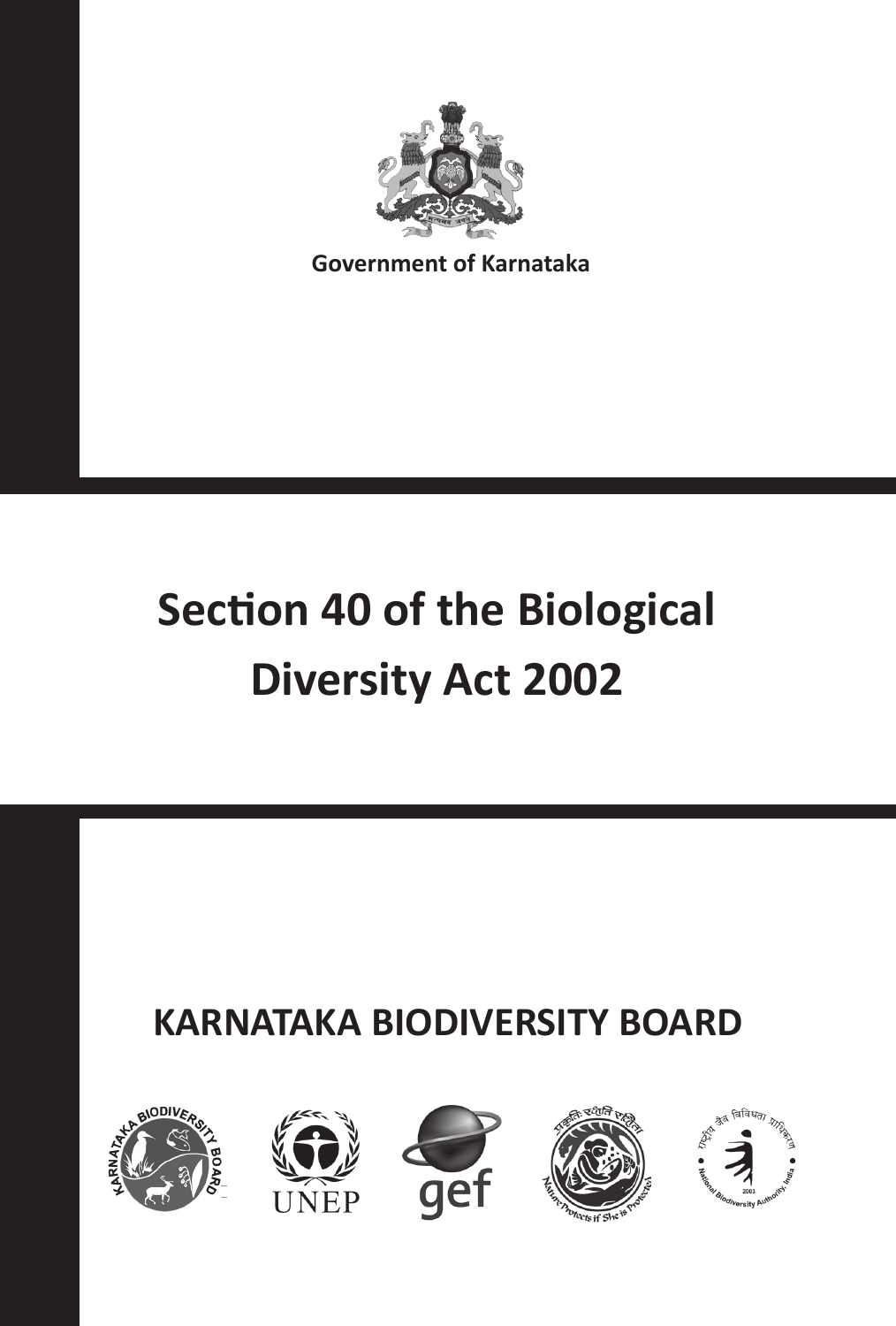

**Government of Karnataka**

# **Section 40 of the Biological Diversity Act 2002**

# **KARNATAKA BIODIVERSITY BOARD**









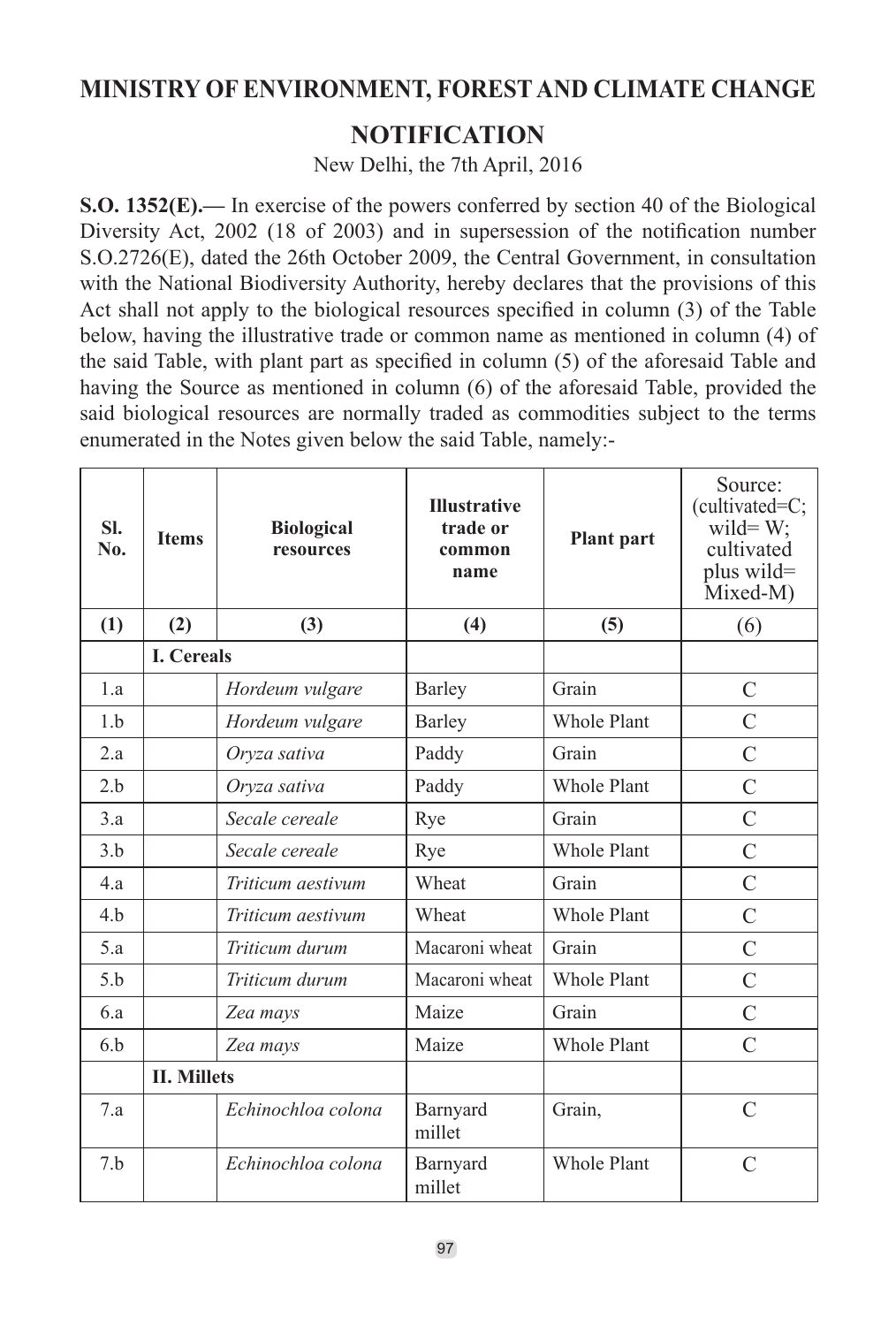#### **MINISTRY OF ENVIRONMENT, FOREST AND CLIMATE CHANGE**

#### **NOTIFICATION**

New Delhi, the 7th April, 2016

**S.O. 1352(E).—** In exercise of the powers conferred by section 40 of the Biological Diversity Act, 2002 (18 of 2003) and in supersession of the notification number S.O.2726(E), dated the 26th October 2009, the Central Government, in consultation with the National Biodiversity Authority, hereby declares that the provisions of this Act shall not apply to the biological resources specified in column (3) of the Table below, having the illustrative trade or common name as mentioned in column (4) of the said Table, with plant part as specified in column (5) of the aforesaid Table and having the Source as mentioned in column (6) of the aforesaid Table, provided the said biological resources are normally traded as commodities subject to the terms enumerated in the Notes given below the said Table, namely:-

| SI.<br>No. | <b>Items</b>       | <b>Biological</b><br>resources | <b>Illustrative</b><br>trade or<br>common<br>name | <b>Plant</b> part  | Source:<br>(cultivated=C;<br>wild= $W$ ;<br>cultivated<br>plus wild=<br>Mixed-M) |
|------------|--------------------|--------------------------------|---------------------------------------------------|--------------------|----------------------------------------------------------------------------------|
| (1)        | (2)                | (3)                            | (4)                                               | (5)                | (6)                                                                              |
|            | <b>I.</b> Cereals  |                                |                                                   |                    |                                                                                  |
| 1.a        |                    | Hordeum vulgare                | Barley                                            | Grain              | $\mathcal{C}$                                                                    |
| 1.b        |                    | Hordeum vulgare                | Barley                                            | Whole Plant        | $\mathcal{C}$                                                                    |
| 2.a        |                    | Oryza sativa                   | Paddy                                             | Grain              | $\overline{C}$                                                                   |
| 2.h        |                    | Oryza sativa                   | Paddy                                             | Whole Plant        | $\mathcal{C}$                                                                    |
| 3.a        |                    | Secale cereale                 | Rye                                               | Grain              | $\mathcal{C}$                                                                    |
| 3.b        |                    | Secale cereale                 | Rye                                               | Whole Plant        | $\mathcal{C}$                                                                    |
| 4.a        |                    | Triticum aestivum              | Wheat                                             | Grain              | $\mathcal{C}$                                                                    |
| 4.b        |                    | Triticum aestivum              | Wheat                                             | Whole Plant        | $\mathcal{C}$                                                                    |
| 5.a        |                    | Triticum durum                 | Macaroni wheat                                    | Grain              | $\overline{C}$                                                                   |
| 5.h        |                    | Triticum durum                 | Macaroni wheat                                    | <b>Whole Plant</b> | $\mathcal{C}$                                                                    |
| 6.a        |                    | Zea mays                       | Maize                                             | Grain              | $\mathcal{C}$                                                                    |
| 6.b        |                    | Zea mays                       | Maize                                             | <b>Whole Plant</b> | $\mathcal{C}$                                                                    |
|            | <b>II. Millets</b> |                                |                                                   |                    |                                                                                  |
| 7a         |                    | Echinochloa colona             | Barnyard<br>millet                                | Grain,             | $\mathcal{C}$                                                                    |
| 7.b        |                    | Echinochloa colona             | Barnyard<br>millet                                | <b>Whole Plant</b> | $\mathcal{C}$                                                                    |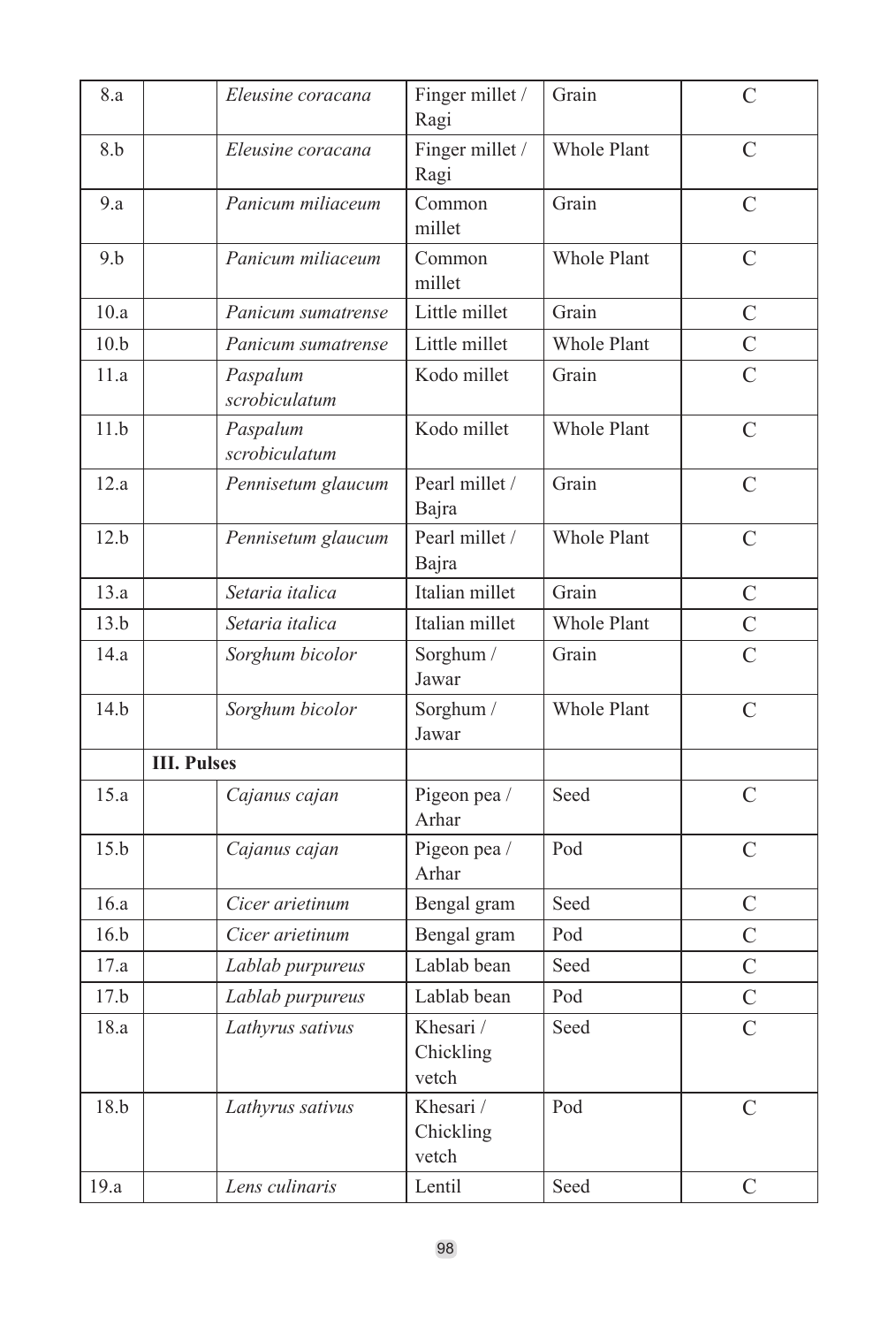| 8.a  | Eleusine coracana         | Finger millet /<br>Ragi         | Grain              | C                       |
|------|---------------------------|---------------------------------|--------------------|-------------------------|
| 8.b  | Eleusine coracana         | Finger millet /<br>Ragi         | <b>Whole Plant</b> | $\overline{C}$          |
| 9.a  | Panicum miliaceum         | Common<br>millet                | Grain              | C                       |
| 9.b  | Panicum miliaceum         | Common<br>millet                | Whole Plant        | $\overline{C}$          |
| 10.a | Panicum sumatrense        | Little millet                   | Grain              | $\overline{C}$          |
| 10.b | Panicum sumatrense        | Little millet                   | Whole Plant        | $\mathcal{C}$           |
| 11.a | Paspalum<br>scrobiculatum | Kodo millet                     | Grain              | $\overline{C}$          |
| 11.b | Paspalum<br>scrobiculatum | Kodo millet                     | Whole Plant        | C                       |
| 12.a | Pennisetum glaucum        | Pearl millet /<br>Bajra         | Grain              | C                       |
| 12.b | Pennisetum glaucum        | Pearl millet /<br>Bajra         | Whole Plant        | $\overline{C}$          |
| 13.a | Setaria italica           | Italian millet                  | Grain              | C                       |
| 13.b | Setaria italica           | Italian millet                  | <b>Whole Plant</b> | $\overline{C}$          |
| 14.a | Sorghum bicolor           | Sorghum /<br>Jawar              | Grain              | $\overline{C}$          |
| 14.b | Sorghum bicolor           | Sorghum /<br>Jawar              | Whole Plant        | $\overline{C}$          |
|      | <b>III. Pulses</b>        |                                 |                    |                         |
| 15.a | Cajanus cajan             | Pigeon pea /<br>Arhar           | Seed               | $\overline{C}$          |
| 15.b | Cajanus cajan             | Pigeon pea /<br>Arhar           | Pod                | C                       |
| 16.a | Cicer arietinum           | Bengal gram                     | Seed               | $\overline{C}$          |
| 16.h | Cicer arietinum           | Bengal gram                     | Pod                | $\overline{C}$          |
| 17.a | Lablab purpureus          | Lablab bean                     | Seed               | $\overline{C}$          |
| 17.b | Lablab purpureus          | Lablab bean                     | Pod                | $\overline{C}$          |
| 18.a | Lathyrus sativus          | Khesari /<br>Chickling<br>vetch | Seed               | $\mathcal{C}$           |
| 18.b | Lathyrus sativus          | Khesari /<br>Chickling<br>vetch | Pod                | $\overline{C}$          |
| 19.a | Lens culinaris            | Lentil                          | Seed               | $\mathcal{C}_{0}^{(n)}$ |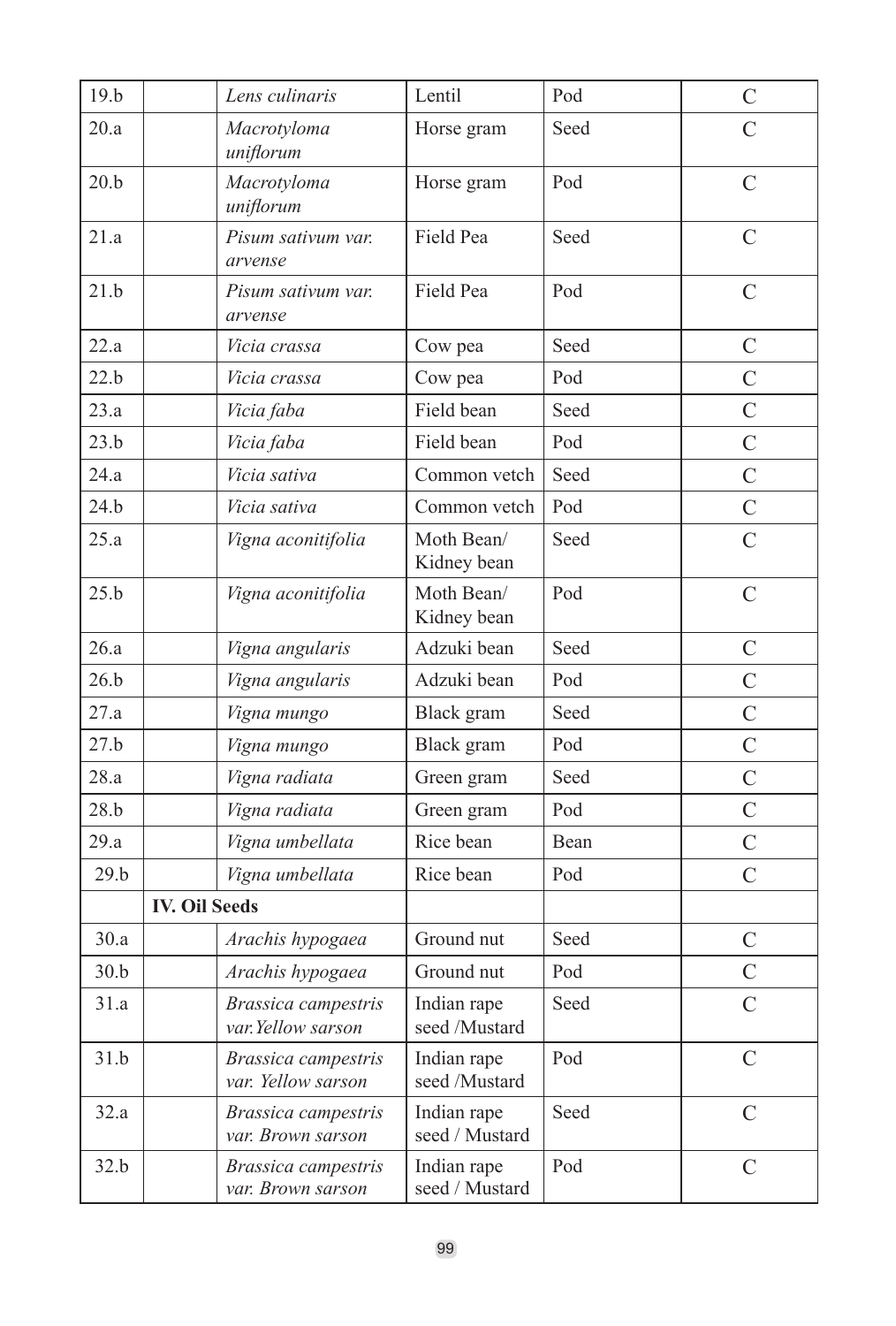| 19.b |                      | Lens culinaris                            | Lentil                        | Pod  | $\mathcal{C}$  |
|------|----------------------|-------------------------------------------|-------------------------------|------|----------------|
| 20.a |                      | Macrotyloma<br>uniflorum                  | Horse gram                    | Seed | $\overline{C}$ |
| 20.b |                      | Macrotyloma<br>uniflorum                  | Horse gram                    | Pod  | $\overline{C}$ |
| 21.a |                      | Pisum sativum var.<br>arvense             | Field Pea                     | Seed | $\overline{C}$ |
| 21.b |                      | Pisum sativum var.<br>arvense             | Field Pea                     | Pod  | $\overline{C}$ |
| 22.a |                      | Vicia crassa                              | Cow pea                       | Seed | $\overline{C}$ |
| 22.b |                      | Vicia crassa                              | Cow pea                       | Pod  | $\overline{C}$ |
| 23.a |                      | Vicia faba                                | Field bean                    | Seed | $\overline{C}$ |
| 23.b |                      | Vicia faba                                | Field bean                    | Pod  | $\overline{C}$ |
| 24.a |                      | Vicia sativa                              | Common vetch                  | Seed | $\overline{C}$ |
| 24.b |                      | Vicia sativa                              | Common vetch                  | Pod  | $\mathcal{C}$  |
| 25.a |                      | Vigna aconitifolia                        | Moth Bean/<br>Kidney bean     | Seed | $\overline{C}$ |
| 25.b |                      | Vigna aconitifolia                        | Moth Bean/<br>Kidney bean     | Pod  | C              |
| 26.a |                      | Vigna angularis                           | Adzuki bean                   | Seed | $\mathcal{C}$  |
| 26.b |                      | Vigna angularis                           | Adzuki bean                   | Pod  | $\overline{C}$ |
| 27.a |                      | Vigna mungo                               | Black gram                    | Seed | $\overline{C}$ |
| 27.b |                      | Vigna mungo                               | Black gram                    | Pod  | $\overline{C}$ |
| 28.a |                      | Vigna radiata                             | Green gram                    | Seed | $\overline{C}$ |
| 28.b |                      | Vigna radiata                             | Green gram                    | Pod  | $\overline{C}$ |
| 29.a |                      | Vigna umbellata                           | Rice bean                     | Bean | $\overline{C}$ |
| 29.b |                      | Vigna umbellata                           | Rice bean                     | Pod  | $\overline{C}$ |
|      | <b>IV. Oil Seeds</b> |                                           |                               |      |                |
| 30.a |                      | Arachis hypogaea                          | Ground nut                    | Seed | $\mathcal{C}$  |
| 30.b |                      | Arachis hypogaea                          | Ground nut                    | Pod  | $\overline{C}$ |
| 31.a |                      | Brassica campestris<br>var. Yellow sarson | Indian rape<br>seed /Mustard  | Seed | $\overline{C}$ |
| 31.b |                      | Brassica campestris<br>var. Yellow sarson | Indian rape<br>seed /Mustard  | Pod  | $\overline{C}$ |
| 32.a |                      | Brassica campestris<br>var. Brown sarson  | Indian rape<br>seed / Mustard | Seed | $\overline{C}$ |
| 32.b |                      | Brassica campestris<br>var. Brown sarson  | Indian rape<br>seed / Mustard | Pod  | C              |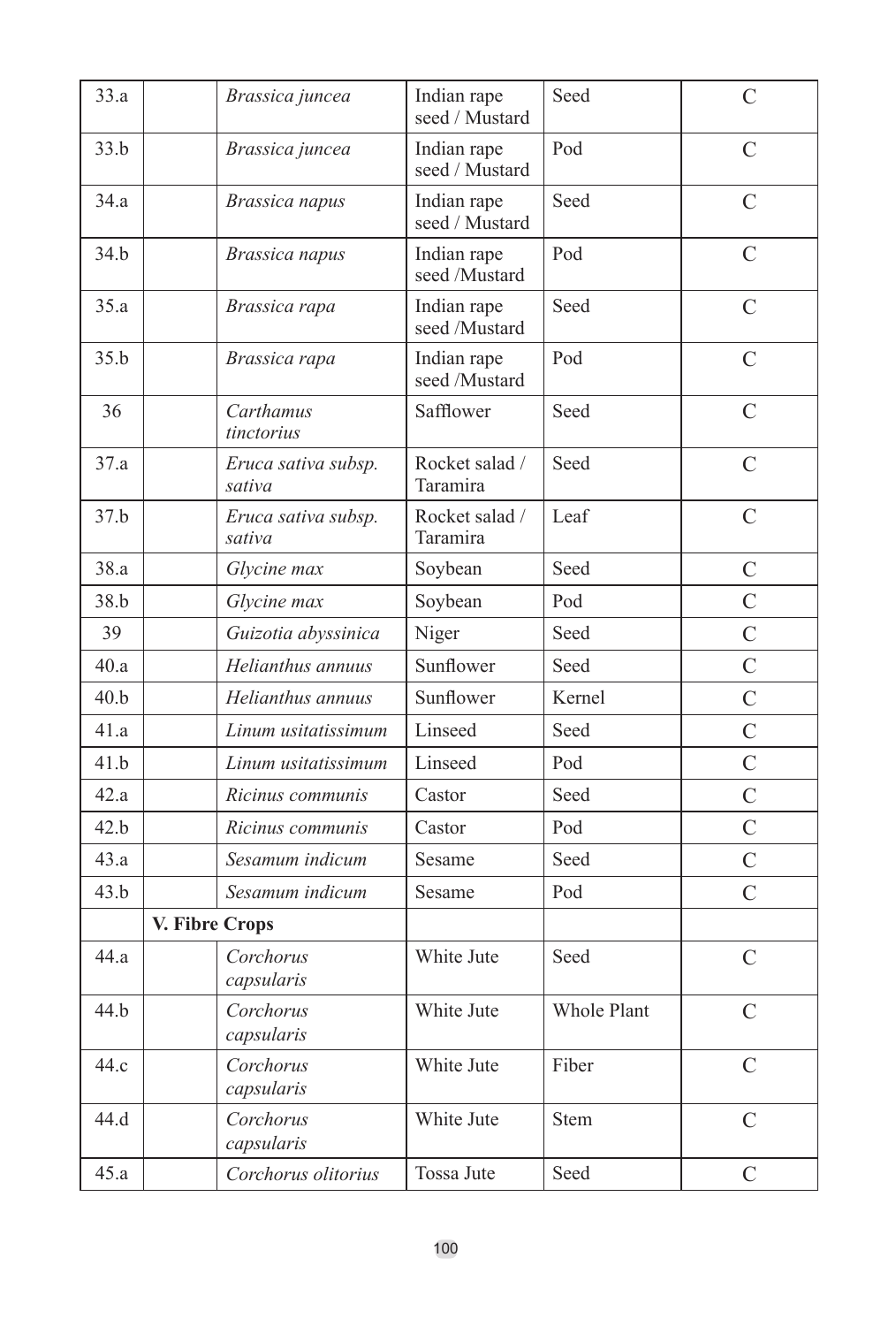| 33.a |                | Brassica juncea               | Indian rape<br>seed / Mustard | Seed               | $\overline{C}$ |
|------|----------------|-------------------------------|-------------------------------|--------------------|----------------|
| 33.b |                | Brassica juncea               | Indian rape<br>seed / Mustard | Pod                | $\overline{C}$ |
| 34.a |                | Brassica napus                | Indian rape<br>seed / Mustard | Seed               | $\mathcal{C}$  |
| 34.h |                | Brassica napus                | Indian rape<br>seed /Mustard  | Pod                | $\overline{C}$ |
| 35.a |                | Brassica rapa                 | Indian rape<br>seed /Mustard  | Seed               | C              |
| 35.b |                | Brassica rapa                 | Indian rape<br>seed /Mustard  | Pod                | $\overline{C}$ |
| 36   |                | Carthamus<br>tinctorius       | Safflower                     | Seed               | $\overline{C}$ |
| 37.a |                | Eruca sativa subsp.<br>sativa | Rocket salad /<br>Taramira    | Seed               | $\mathcal{C}$  |
| 37.b |                | Eruca sativa subsp.<br>sativa | Rocket salad /<br>Taramira    | Leaf               | $\overline{C}$ |
| 38.a |                | Glycine max                   | Soybean                       | Seed               | $\overline{C}$ |
| 38.b |                | Glycine max                   | Soybean                       | Pod                | $\overline{C}$ |
| 39   |                | Guizotia abyssinica           | Niger                         | Seed               | C              |
| 40.a |                | Helianthus annuus             | Sunflower                     | Seed               | $\overline{C}$ |
| 40.b |                | Helianthus annuus             | Sunflower                     | Kernel             | $\overline{C}$ |
| 41.a |                | Linum usitatissimum           | Linseed                       | Seed               | $\overline{C}$ |
| 41.b |                | Linum usitatissimum           | Linseed                       | Pod                | $\overline{C}$ |
| 42.a |                | Ricinus communis              | Castor                        | Seed               | $\overline{C}$ |
| 42.b |                | Ricinus communis              | Castor                        | Pod                | $\overline{C}$ |
| 43.a |                | Sesamum indicum               | Sesame                        | Seed               | $\overline{C}$ |
| 43.b |                | Sesamum indicum               | Sesame                        | Pod                | $\overline{C}$ |
|      | V. Fibre Crops |                               |                               |                    |                |
| 44.a |                | Corchorus<br>capsularis       | White Jute                    | Seed               | C              |
| 44.b |                | Corchorus<br>capsularis       | White Jute                    | <b>Whole Plant</b> | $\overline{C}$ |
| 44.c |                | Corchorus<br>capsularis       | White Jute                    | Fiber              | C              |
| 44.d |                | Corchorus<br>capsularis       | White Jute                    | <b>Stem</b>        | $\mathcal{C}$  |
| 45.a |                | Corchorus olitorius           | Tossa Jute                    | Seed               | $\overline{C}$ |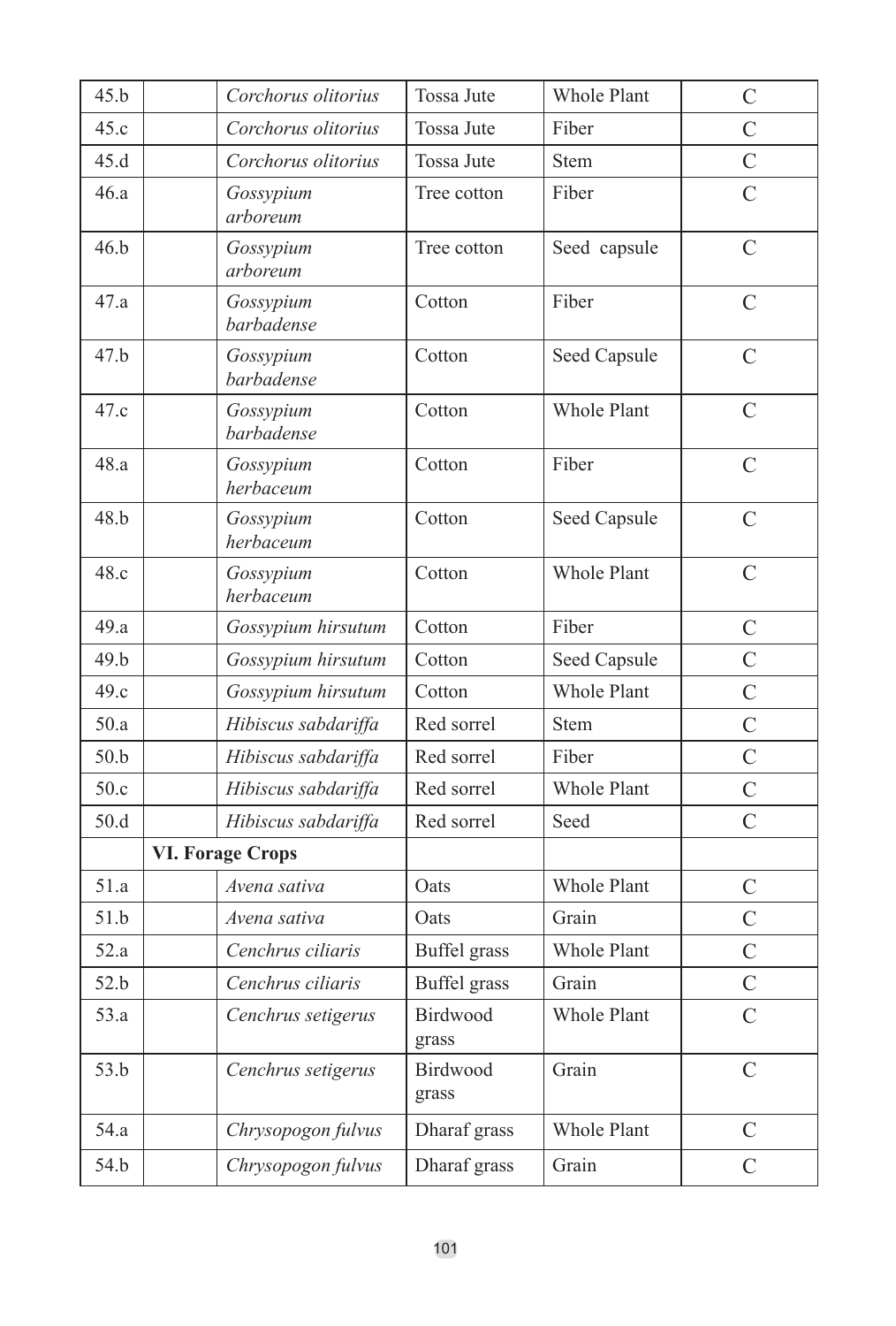| 45.b            | Corchorus olitorius     | <b>Tossa Jute</b>   | <b>Whole Plant</b> | $\mathcal{C}$  |
|-----------------|-------------------------|---------------------|--------------------|----------------|
| 45.c            | Corchorus olitorius     | Tossa Jute          | Fiber              | $\overline{C}$ |
| 45.d            | Corchorus olitorius     | <b>Tossa Jute</b>   | Stem               | $\overline{C}$ |
| 46.a            | Gossypium<br>arboreum   | Tree cotton         | Fiber              | $\overline{C}$ |
| 46.b            | Gossypium<br>arboreum   | Tree cotton         | Seed capsule       | $\mathcal{C}$  |
| 47.a            | Gossypium<br>barbadense | Cotton              | Fiber              | $\overline{C}$ |
| 47.b            | Gossypium<br>barbadense | Cotton              | Seed Capsule       | $\overline{C}$ |
| 47.c            | Gossypium<br>barbadense | Cotton              | <b>Whole Plant</b> | $\mathcal{C}$  |
| 48.a            | Gossypium<br>herbaceum  | Cotton              | Fiber              | $\overline{C}$ |
| 48.h            | Gossypium<br>herbaceum  | Cotton              | Seed Capsule       | $\overline{C}$ |
| 48.c            | Gossypium<br>herbaceum  | Cotton              | <b>Whole Plant</b> | C              |
| 49.a            | Gossypium hirsutum      | Cotton              | Fiber              | $\overline{C}$ |
| 49 <sub>h</sub> | Gossypium hirsutum      | Cotton              | Seed Capsule       | $\overline{C}$ |
| 49.c            | Gossypium hirsutum      | Cotton              | <b>Whole Plant</b> | $\overline{C}$ |
| 50.a            | Hibiscus sabdariffa     | Red sorrel          | Stem               | $\overline{C}$ |
| 50.b            | Hibiscus sabdariffa     | Red sorrel          | Fiber              | $\overline{C}$ |
| 50.c            | Hibiscus sabdariffa     | Red sorrel          | <b>Whole Plant</b> | $\overline{C}$ |
| 50.d            | Hibiscus sabdariffa     | Red sorrel          | Seed               | $\overline{C}$ |
|                 | <b>VI. Forage Crops</b> |                     |                    |                |
| 51.a            | Avena sativa            | Oats                | Whole Plant        | $\overline{C}$ |
| 51.b            | Avena sativa            | Oats                | Grain              | $\overline{C}$ |
| 52.a            | Cenchrus ciliaris       | Buffel grass        | Whole Plant        | $\overline{C}$ |
| 52.b            | Cenchrus ciliaris       | <b>Buffel</b> grass | Grain              | $\overline{C}$ |
| 53.a            | Cenchrus setigerus      | Birdwood<br>grass   | <b>Whole Plant</b> | $\overline{C}$ |
| 53.b            | Cenchrus setigerus      | Birdwood<br>grass   | Grain              | $\overline{C}$ |
| 54.a            | Chrysopogon fulvus      | Dharaf grass        | Whole Plant        | C              |
| 54.b            | Chrysopogon fulvus      | Dharaf grass        | Grain              | $\overline{C}$ |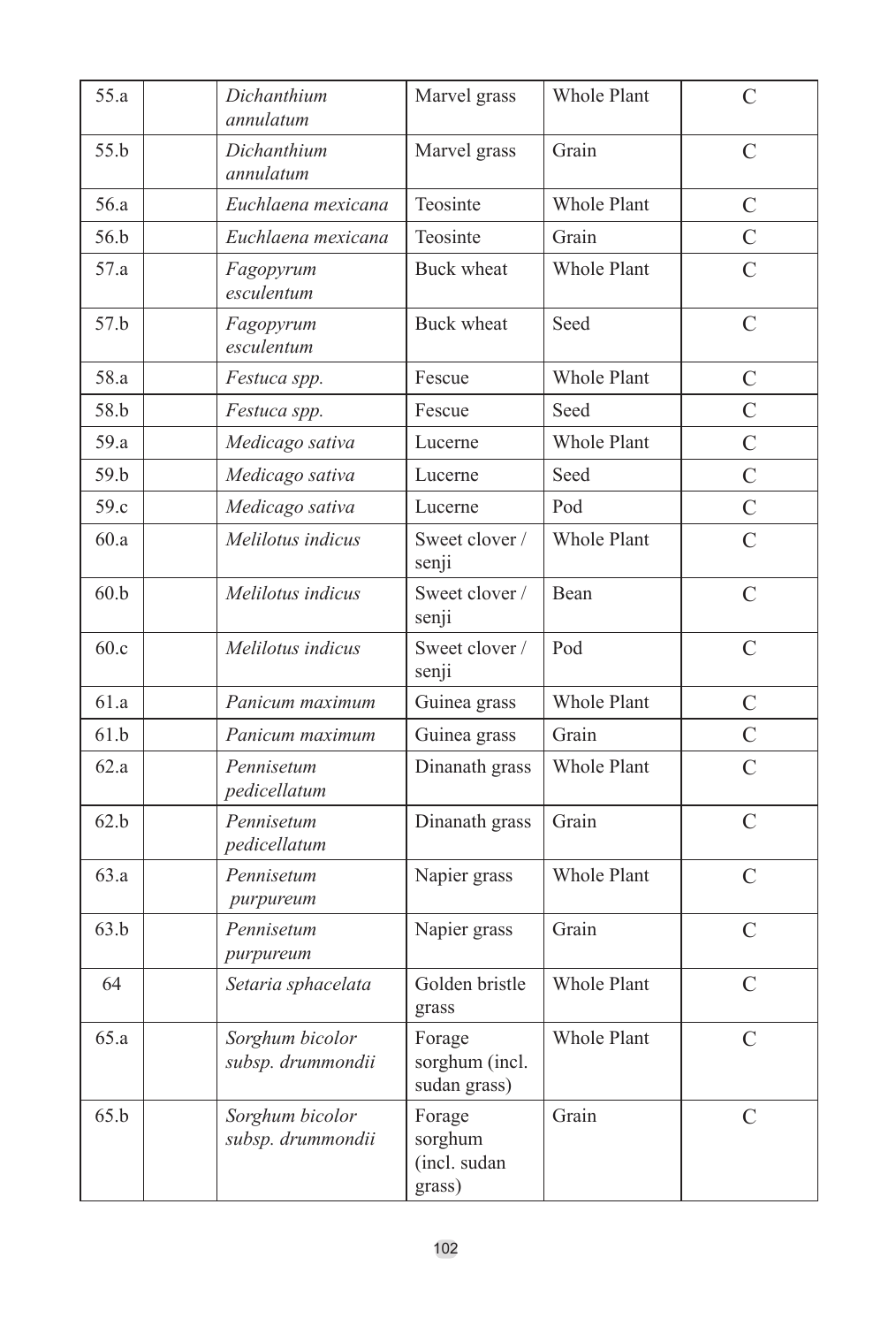| 55.a | Dichanthium<br>annulatum             | Marvel grass                                | <b>Whole Plant</b> | C              |
|------|--------------------------------------|---------------------------------------------|--------------------|----------------|
| 55.h | Dichanthium<br>annulatum             | Marvel grass                                | Grain              | $\overline{C}$ |
| 56.a | Euchlaena mexicana                   | Teosinte                                    | <b>Whole Plant</b> | C              |
| 56.b | Euchlaena mexicana                   | Teosinte                                    | Grain              | $\overline{C}$ |
| 57.a | Fagopyrum<br>esculentum              | <b>Buck wheat</b>                           | Whole Plant        | $\overline{C}$ |
| 57.b | Fagopyrum<br>esculentum              | <b>Buck wheat</b>                           | Seed               | $\overline{C}$ |
| 58.a | Festuca spp.                         | Fescue                                      | <b>Whole Plant</b> | C              |
| 58.b | Festuca spp.                         | Fescue                                      | Seed               | $\overline{C}$ |
| 59.a | Medicago sativa                      | Lucerne                                     | Whole Plant        | $\overline{C}$ |
| 59.b | Medicago sativa                      | Lucerne                                     | Seed               | $\overline{C}$ |
| 59.c | Medicago sativa                      | Lucerne                                     | Pod                | $\overline{C}$ |
| 60.a | Melilotus indicus                    | Sweet clover /<br>senji                     | <b>Whole Plant</b> | $\mathcal{C}$  |
| 60.b | Melilotus indicus                    | Sweet clover /<br>senji                     | Bean               | $\mathcal{C}$  |
| 60.c | Melilotus indicus                    | Sweet clover /<br>senji                     | Pod                | $\overline{C}$ |
| 61.a | Panicum maximum                      | Guinea grass                                | Whole Plant        | C              |
| 61.b | Panicum maximum                      | Guinea grass                                | Grain              | $\overline{C}$ |
| 62.a | Pennisetum<br>pedicellatum           | Dinanath grass                              | <b>Whole Plant</b> | $\overline{C}$ |
| 62.b | Pennisetum<br>pedicellatum           | Dinanath grass                              | Grain              | $\overline{C}$ |
| 63.a | Pennisetum<br>purpureum              | Napier grass                                | <b>Whole Plant</b> | C              |
| 63.b | Pennisetum<br>purpureum              | Napier grass                                | Grain              | C              |
| 64   | Setaria sphacelata                   | Golden bristle<br>grass                     | <b>Whole Plant</b> | $\mathcal{C}$  |
| 65.a | Sorghum bicolor<br>subsp. drummondii | Forage<br>sorghum (incl.<br>sudan grass)    | Whole Plant        | $\overline{C}$ |
| 65.b | Sorghum bicolor<br>subsp. drummondii | Forage<br>sorghum<br>(incl. sudan<br>grass) | Grain              | $\mathcal{C}$  |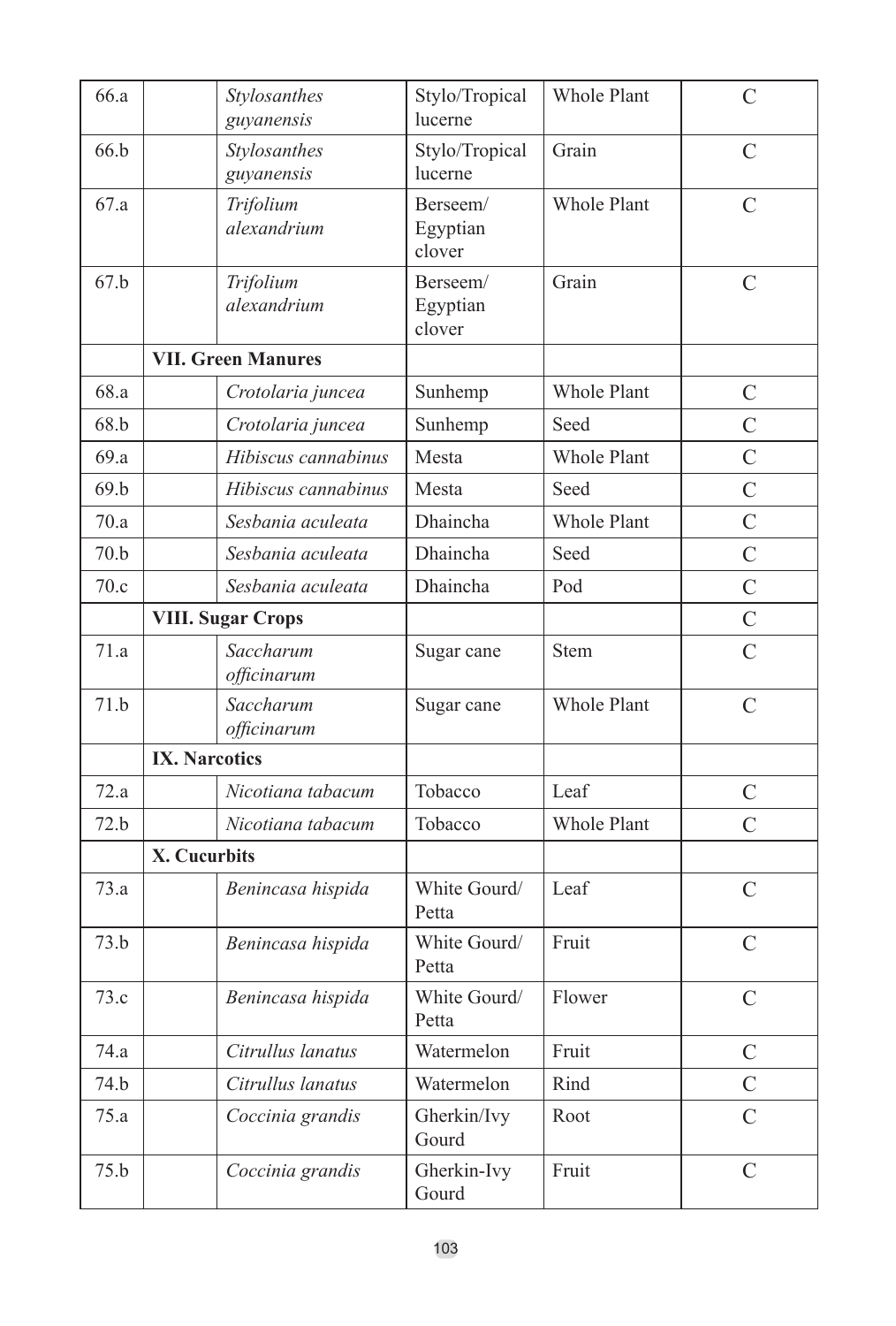| 66.a | Stylosanthes<br>guyanensis | Stylo/Tropical<br>lucerne      | Whole Plant        | C              |
|------|----------------------------|--------------------------------|--------------------|----------------|
| 66.b | Stylosanthes<br>guvanensis | Stylo/Tropical<br>lucerne      | Grain              | $\overline{C}$ |
| 67.a | Trifolium<br>alexandrium   | Berseem/<br>Egyptian<br>clover | Whole Plant        | C              |
| 67.b | Trifolium<br>alexandrium   | Berseem/<br>Egyptian<br>clover | Grain              | $\mathcal{C}$  |
|      | <b>VII. Green Manures</b>  |                                |                    |                |
| 68.a | Crotolaria juncea          | Sunhemp                        | Whole Plant        | $\mathcal{C}$  |
| 68.b | Crotolaria juncea          | Sunhemp                        | Seed               | $\overline{C}$ |
| 69.a | Hibiscus cannabinus        | Mesta                          | Whole Plant        | $\overline{C}$ |
| 69.b | Hibiscus cannabinus        | Mesta                          | Seed               | $\overline{C}$ |
| 70.a | Sesbania aculeata          | Dhaincha                       | <b>Whole Plant</b> | $\overline{C}$ |
| 70.b | Sesbania aculeata          | Dhaincha                       | Seed               | $\overline{C}$ |
| 70.c | Sesbania aculeata          | Dhaincha                       | Pod                | $\overline{C}$ |
|      | <b>VIII. Sugar Crops</b>   |                                |                    | $\overline{C}$ |
| 71.a | Saccharum<br>officinarum   | Sugar cane                     | <b>Stem</b>        | $\overline{C}$ |
| 71.b | Saccharum<br>officinarum   | Sugar cane                     | Whole Plant        | $\mathcal{C}$  |
|      | <b>IX. Narcotics</b>       |                                |                    |                |
| 72.a | Nicotiana tabacum          | Tobacco                        | Leaf               | C              |
| 72.b | Nicotiana tabacum          | Tobacco                        | Whole Plant        | $\overline{C}$ |
|      | X. Cucurbits               |                                |                    |                |
| 73.a | Benincasa hispida          | White Gourd/<br>Petta          | Leaf               | $\overline{C}$ |
| 73.b | Benincasa hispida          | White Gourd/<br>Petta          | Fruit              | C              |
| 73.c | Benincasa hispida          | White Gourd/<br>Petta          | Flower             | $\overline{C}$ |
| 74.a | Citrullus lanatus          | Watermelon                     | Fruit              | $\mathcal{C}$  |
| 74.b | Citrullus lanatus          | Watermelon                     | Rind               | $\mathcal{C}$  |
| 75.a | Coccinia grandis           | Gherkin/Ivy<br>Gourd           | Root               | $\overline{C}$ |
| 75.b | Coccinia grandis           | Gherkin-Ivy<br>Gourd           | Fruit              | C              |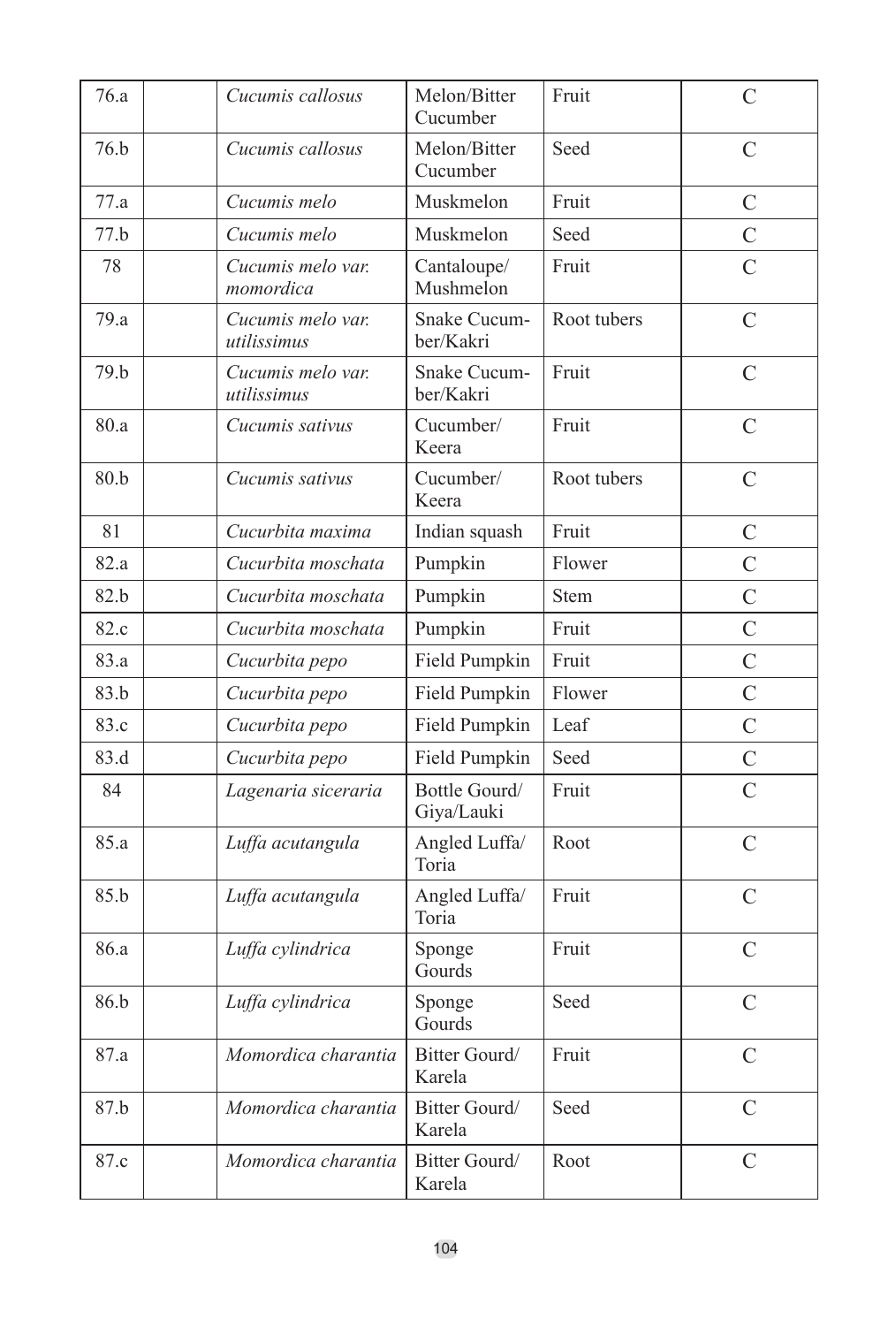| 76.a | Cucumis callosus                 | Melon/Bitter<br>Cucumber    | Fruit       | C              |
|------|----------------------------------|-----------------------------|-------------|----------------|
| 76.b | Cucumis callosus                 | Melon/Bitter<br>Cucumber    | Seed        | C              |
| 77.a | Cucumis melo                     | Muskmelon                   | Fruit       | $\overline{C}$ |
| 77.b | Cucumis melo                     | Muskmelon                   | Seed        | $\overline{C}$ |
| 78   | Cucumis melo var.<br>momordica   | Cantaloupe/<br>Mushmelon    | Fruit       | $\overline{C}$ |
| 79.a | Cucumis melo var.<br>utilissimus | Snake Cucum-<br>ber/Kakri   | Root tubers | $\mathcal{C}$  |
| 79.b | Cucumis melo var.<br>utilissimus | Snake Cucum-<br>ber/Kakri   | Fruit       | $\overline{C}$ |
| 80.a | Cucumis sativus                  | Cucumber/<br>Keera          | Fruit       | C              |
| 80.b | Cucumis sativus                  | Cucumber/<br>Keera          | Root tubers | $\overline{C}$ |
| 81   | Cucurbita maxima                 | Indian squash               | Fruit       | C              |
| 82.a | Cucurbita moschata               | Pumpkin                     | Flower      | $\overline{C}$ |
| 82.b | Cucurbita moschata               | Pumpkin                     | <b>Stem</b> | $\overline{C}$ |
| 82.c | Cucurbita moschata               | Pumpkin                     | Fruit       | $\overline{C}$ |
| 83.a | Cucurbita pepo                   | Field Pumpkin               | Fruit       | $\overline{C}$ |
| 83.b | Cucurbita pepo                   | Field Pumpkin               | Flower      | $\overline{C}$ |
| 83.c | Cucurbita pepo                   | Field Pumpkin               | Leaf        | $\overline{C}$ |
| 83.d | Cucurbita pepo                   | Field Pumpkin               | Seed        | $\overline{C}$ |
| 84   | Lagenaria siceraria              | Bottle Gourd/<br>Giya/Lauki | Fruit       | $\overline{C}$ |
| 85.a | Luffa acutangula                 | Angled Luffa/<br>Toria      | Root        | $\overline{C}$ |
| 85.b | Luffa acutangula                 | Angled Luffa/<br>Toria      | Fruit       | C              |
| 86.a | Luffa cylindrica                 | Sponge<br>Gourds            | Fruit       | $\overline{C}$ |
| 86.b | Luffa cylindrica                 | Sponge<br>Gourds            | Seed        | $\overline{C}$ |
| 87.a | Momordica charantia              | Bitter Gourd/<br>Karela     | Fruit       | $\mathcal{C}$  |
| 87.b | Momordica charantia              | Bitter Gourd/<br>Karela     | Seed        | C              |
| 87.c | Momordica charantia              | Bitter Gourd/<br>Karela     | Root        | C              |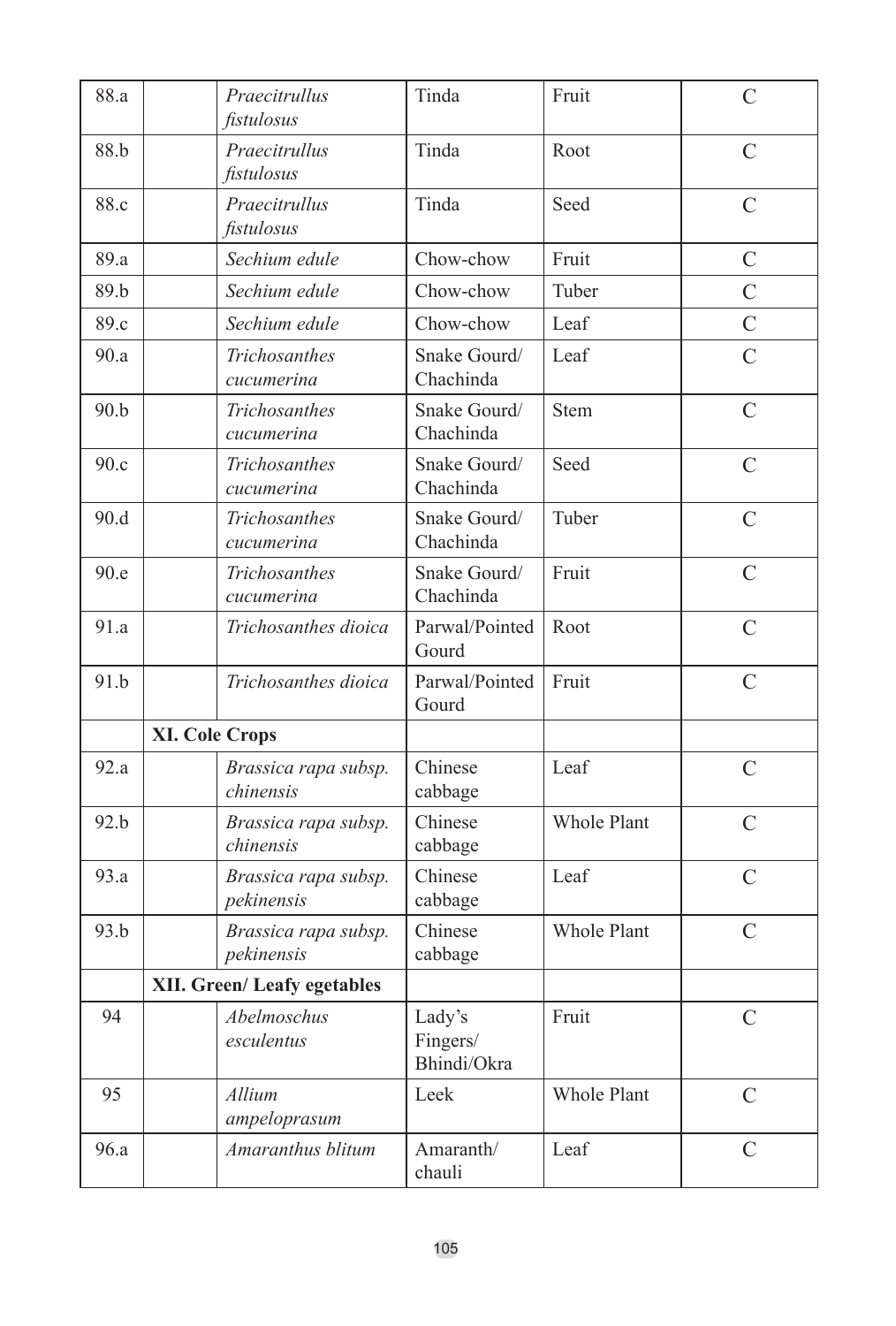| 88.a | Praecitrullus<br>fistulosus        | Tinda                             | Fruit              | $\overline{C}$          |
|------|------------------------------------|-----------------------------------|--------------------|-------------------------|
| 88.b | Praecitrullus<br>fistulosus        | Tinda                             | Root               | $\mathcal{C}_{0}^{(n)}$ |
| 88.c | Praecitrullus<br>fistulosus        | Tinda                             | Seed               | $\mathcal{C}$           |
| 89.a | Sechium edule                      | Chow-chow                         | Fruit              | $\mathcal{C}$           |
| 89.b | Sechium edule                      | Chow-chow                         | Tuber              | $\mathcal{C}$           |
| 89.c | Sechium edule                      | Chow-chow                         | Leaf               | $\overline{C}$          |
| 90.a | Trichosanthes<br>cucumerina        | Snake Gourd/<br>Chachinda         | Leaf               | $\overline{C}$          |
| 90.b | Trichosanthes<br>cucumerina        | Snake Gourd/<br>Chachinda         | <b>Stem</b>        | $\mathcal{C}$           |
| 90.c | <b>Trichosanthes</b><br>cucumerina | Snake Gourd/<br>Chachinda         | Seed               | $\mathcal{C}$           |
| 90.d | <b>Trichosanthes</b><br>cucumerina | Snake Gourd/<br>Chachinda         | Tuber              | $\overline{C}$          |
| 90.e | Trichosanthes<br>cucumerina        | Snake Gourd/<br>Chachinda         | Fruit              | $\overline{C}$          |
| 91.a | Trichosanthes dioica               | Parwal/Pointed<br>Gourd           | Root               | $\overline{C}$          |
| 91.b | Trichosanthes dioica               | Parwal/Pointed<br>Gourd           | Fruit              | C                       |
|      | <b>XI. Cole Crops</b>              |                                   |                    |                         |
| 92.a | Brassica rapa subsp.<br>chinensis  | Chinese<br>cabbage                | Leaf               | $\mathcal{C}$           |
| 92.h | Brassica rapa subsp.<br>chinensis  | Chinese<br>cabbage                | <b>Whole Plant</b> | C                       |
| 93.a | Brassica rapa subsp.<br>pekinensis | Chinese<br>cabbage                | Leaf               | $\overline{C}$          |
| 93.b | Brassica rapa subsp.<br>pekinensis | Chinese<br>cabbage                | <b>Whole Plant</b> | $\mathcal{C}$           |
|      | XII. Green/Leafy egetables         |                                   |                    |                         |
| 94   | <b>Abelmoschus</b><br>esculentus   | Lady's<br>Fingers/<br>Bhindi/Okra | Fruit              | $\overline{C}$          |
| 95   | Allium<br>ampeloprasum             | Leek                              | Whole Plant        | $\mathcal{C}$           |
| 96.a | Amaranthus blitum                  | Amaranth/<br>chauli               | Leaf               | C                       |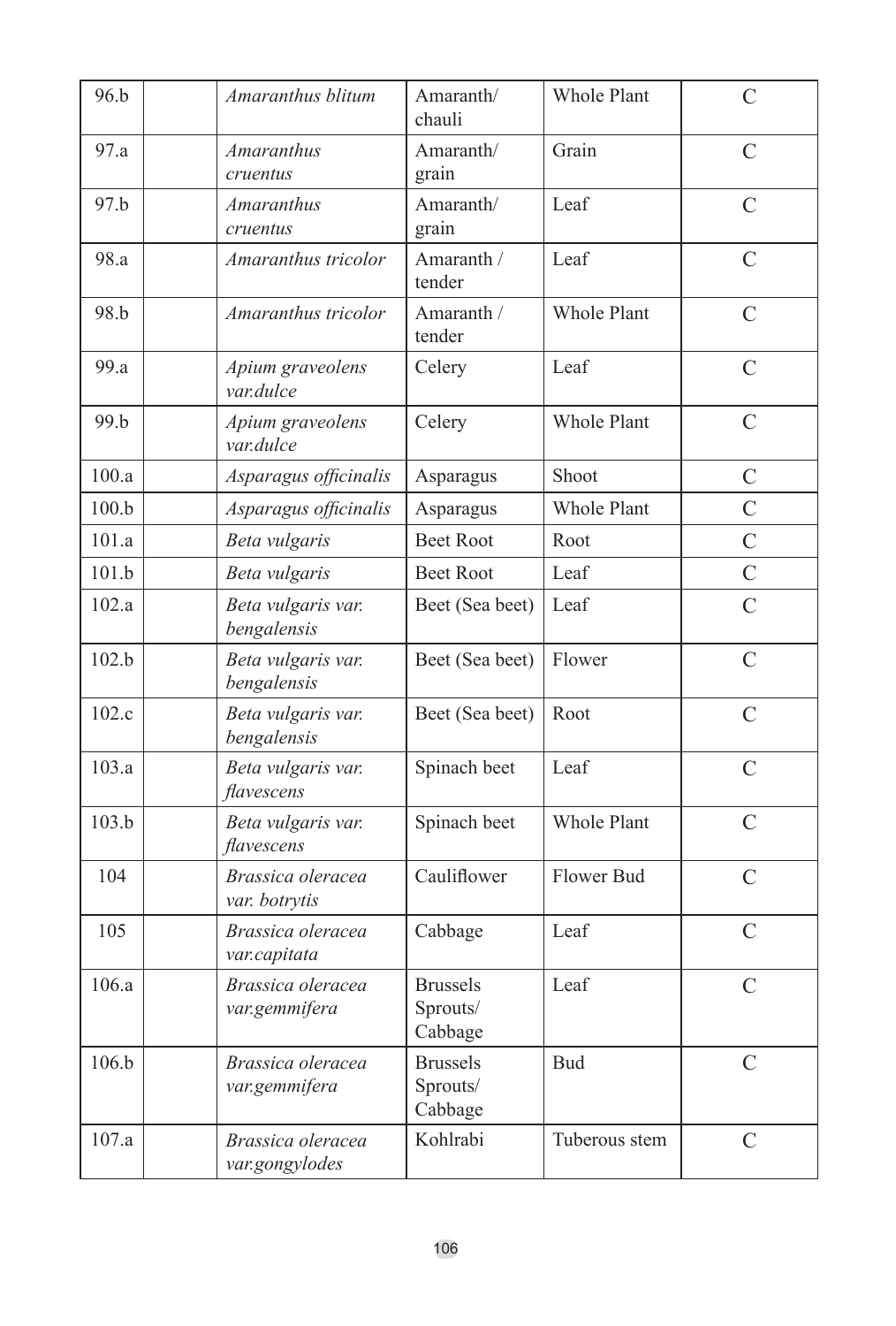| 96.b  | Amaranthus blitum                   | Amaranth/<br>chauli                    | Whole Plant        | $\overline{C}$ |
|-------|-------------------------------------|----------------------------------------|--------------------|----------------|
| 97.a  | <b>Amaranthus</b><br>cruentus       | Amaranth/<br>grain                     | Grain              | $\overline{C}$ |
| 97.b  | <i>Amaranthus</i><br>cruentus       | Amaranth/<br>grain                     | Leaf               | $\overline{C}$ |
| 98.a  | Amaranthus tricolor                 | Amaranth /<br>tender                   | Leaf               | $\overline{C}$ |
| 98.b  | Amaranthus tricolor                 | Amaranth /<br>tender                   | Whole Plant        | $\mathcal{C}$  |
| 99.a  | Apium graveolens<br>var.dulce       | Celery                                 | Leaf               | $\overline{C}$ |
| 99.b  | Apium graveolens<br>var.dulce       | Celery                                 | <b>Whole Plant</b> | $\mathcal{C}$  |
| 100.a | Asparagus officinalis               | Asparagus                              | Shoot              | $\mathcal{C}$  |
| 100.b | Asparagus officinalis               | Asparagus                              | <b>Whole Plant</b> | $\overline{C}$ |
| 101.a | Beta vulgaris                       | <b>Beet Root</b>                       | Root               | $\overline{C}$ |
| 101.h | Beta vulgaris                       | <b>Beet Root</b>                       | Leaf               | $\overline{C}$ |
| 102.a | Beta vulgaris var.<br>bengalensis   | Beet (Sea beet)                        | Leaf               | $\overline{C}$ |
| 102.b | Beta vulgaris var.<br>bengalensis   | Beet (Sea beet)                        | Flower             | $\mathcal{C}$  |
| 102.c | Beta vulgaris var.<br>bengalensis   | Beet (Sea beet)                        | Root               | C              |
| 103.a | Beta vulgaris var.<br>flavescens    | Spinach beet                           | Leaf               | $\overline{C}$ |
| 103.b | Beta vulgaris var.<br>flavescens    | Spinach beet                           | <b>Whole Plant</b> | C              |
| 104   | Brassica oleracea<br>var. botrytis  | Cauliflower                            | Flower Bud         | $\mathcal{C}$  |
| 105   | Brassica oleracea<br>var.capitata   | Cabbage                                | Leaf               | $\overline{C}$ |
| 106.a | Brassica oleracea<br>var.gemmifera  | <b>Brussels</b><br>Sprouts/<br>Cabbage | Leaf               | $\overline{C}$ |
| 106.b | Brassica oleracea<br>var.gemmifera  | <b>Brussels</b><br>Sprouts/<br>Cabbage | <b>Bud</b>         | $\overline{C}$ |
| 107.a | Brassica oleracea<br>var.gongylodes | Kohlrabi                               | Tuberous stem      | $\overline{C}$ |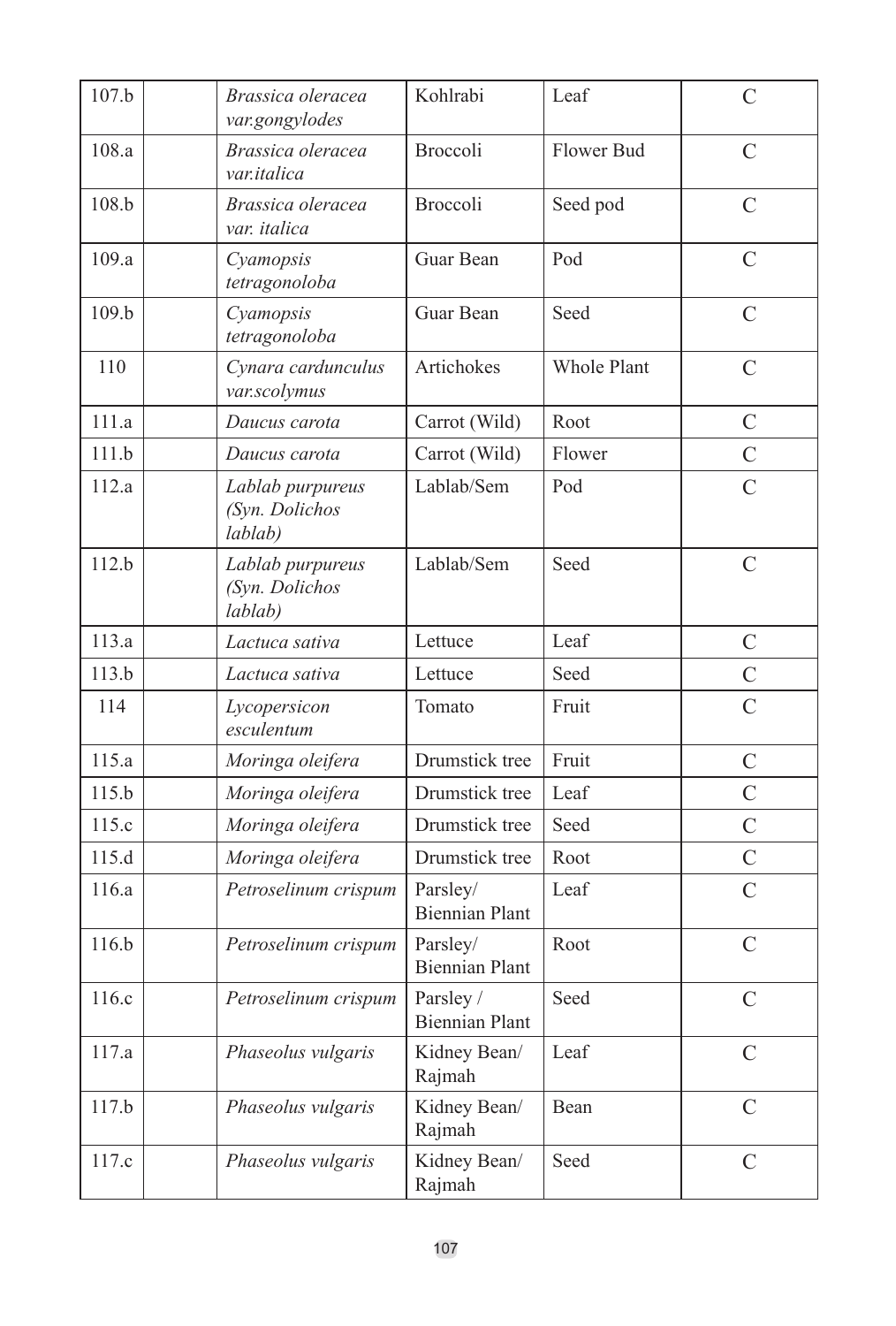| 107.b | Brassica oleracea<br>var.gongylodes           | Kohlrabi                           | Leaf        | C              |
|-------|-----------------------------------------------|------------------------------------|-------------|----------------|
| 108.a | Brassica oleracea<br>var.italica              | <b>Broccoli</b>                    | Flower Bud  | $\overline{C}$ |
| 108.b | Brassica oleracea<br>var. italica             | <b>Broccoli</b>                    | Seed pod    | $\mathcal{C}$  |
| 109.a | Cyamopsis<br>tetragonoloba                    | Guar Bean                          | Pod         | $\overline{C}$ |
| 109.b | Cyamopsis<br>tetragonoloba                    | Guar Bean                          | Seed        | $\overline{C}$ |
| 110   | Cynara cardunculus<br>var.scolymus            | Artichokes                         | Whole Plant | $\overline{C}$ |
| 111.a | Daucus carota                                 | Carrot (Wild)                      | Root        | C              |
| 111.b | Daucus carota                                 | Carrot (Wild)                      | Flower      | $\overline{C}$ |
| 112.a | Lablab purpureus<br>(Syn. Dolichos<br>lablab) | Lablab/Sem                         | Pod         | $\overline{C}$ |
| 112.b | Lablab purpureus<br>(Syn. Dolichos<br>lablab) | Lablab/Sem                         | Seed        | $\mathcal{C}$  |
| 113.a | Lactuca sativa                                | Lettuce                            | Leaf        | C              |
| 113.b | Lactuca sativa                                | Lettuce                            | Seed        | $\overline{C}$ |
| 114   | Lycopersicon<br>esculentum                    | Tomato                             | Fruit       | $\overline{C}$ |
| 115.a | Moringa oleifera                              | Drumstick tree                     | Fruit       | C              |
| 115.b | Moringa oleifera                              | Drumstick tree                     | Leaf        | $\overline{C}$ |
| 115.c | Moringa oleifera                              | Drumstick tree                     | Seed        | $\overline{C}$ |
| 115.d | Moringa oleifera                              | Drumstick tree                     | Root        | $\mathcal{C}$  |
| 116.a | Petroselinum crispum                          | Parsley/<br><b>Biennian Plant</b>  | Leaf        | $\overline{C}$ |
| 116.b | Petroselinum crispum                          | Parsley/<br><b>Biennian Plant</b>  | Root        | $\overline{C}$ |
| 116.c | Petroselinum crispum                          | Parsley /<br><b>Biennian Plant</b> | Seed        | $\overline{C}$ |
| 117.a | Phaseolus vulgaris                            | Kidney Bean/<br>Rajmah             | Leaf        | $\overline{C}$ |
| 117.b | Phaseolus vulgaris                            | Kidney Bean/<br>Rajmah             | Bean        | C              |
| 117.c | Phaseolus vulgaris                            | Kidney Bean/<br>Rajmah             | Seed        | $\mathcal{C}$  |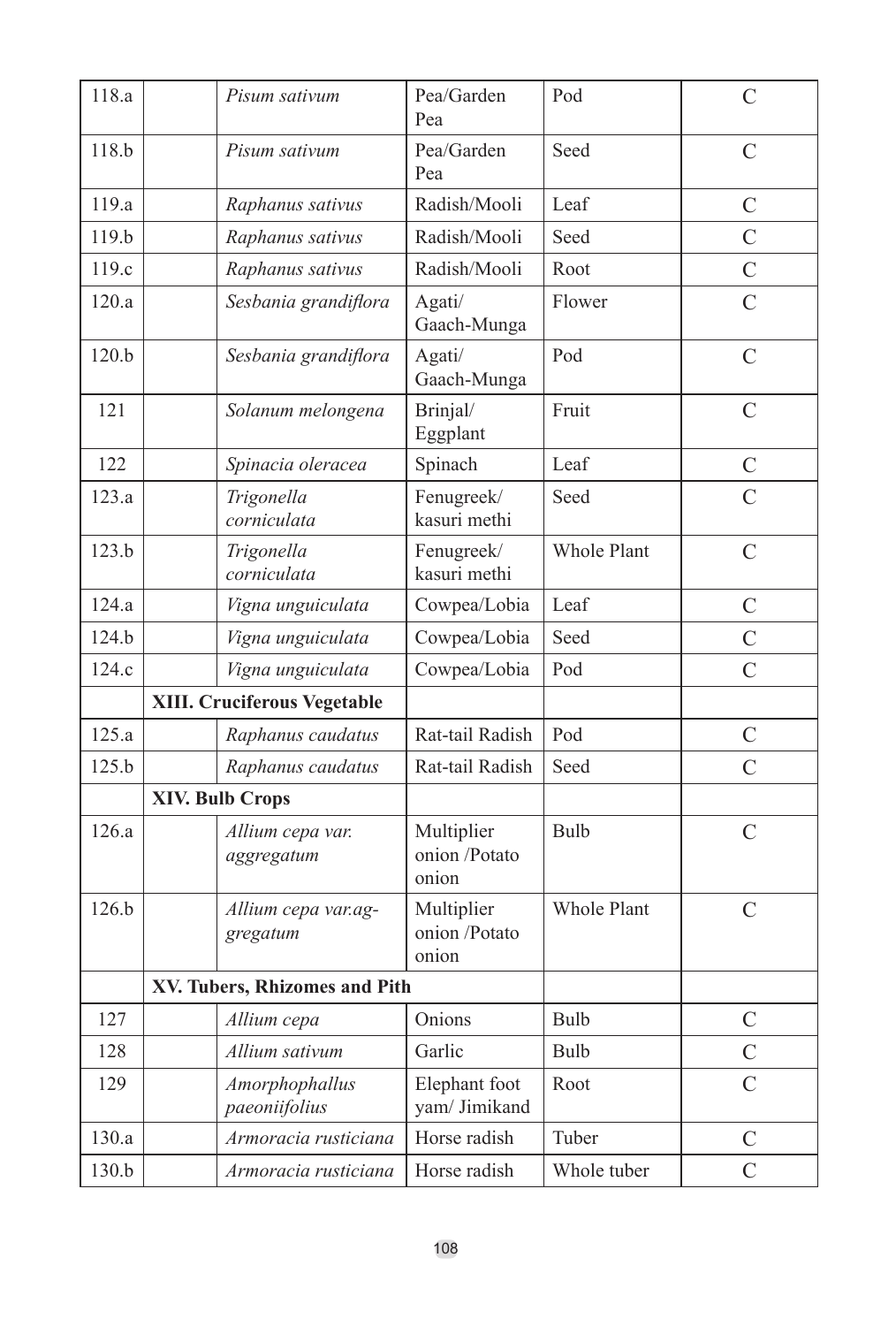| 118.a            | Pisum sativum                   | Pea/Garden<br>Pea                    | Pod                | $\overline{C}$ |
|------------------|---------------------------------|--------------------------------------|--------------------|----------------|
| 118.b            | Pisum sativum                   | Pea/Garden<br>Pea                    | Seed               | $\overline{C}$ |
| 119.a            | Raphanus sativus                | Radish/Mooli                         | Leaf               | C              |
| 119 <sub>b</sub> | Raphanus sativus                | Radish/Mooli                         | Seed               | $\overline{C}$ |
| 119.c            | Raphanus sativus                | Radish/Mooli                         | Root               | $\overline{C}$ |
| 120.a            | Sesbania grandiflora            | Agati/<br>Gaach-Munga                | Flower             | $\overline{C}$ |
| 120.b            | Sesbania grandiflora            | Agati/<br>Gaach-Munga                | Pod                | $\overline{C}$ |
| 121              | Solanum melongena               | Brinjal/<br>Eggplant                 | Fruit              | $\overline{C}$ |
| 122              | Spinacia oleracea               | Spinach                              | Leaf               | C              |
| 123.a            | Trigonella<br>corniculata       | Fenugreek/<br>kasuri methi           | Seed               | $\overline{C}$ |
| 123.b            | Trigonella<br>corniculata       | Fenugreek/<br>kasuri methi           | <b>Whole Plant</b> | $\overline{C}$ |
| 124.a            | Vigna unguiculata               | Cowpea/Lobia                         | Leaf               | C              |
| 124.b            | Vigna unguiculata               | Cowpea/Lobia                         | Seed               | $\overline{C}$ |
| 124.c            | Vigna unguiculata               | Cowpea/Lobia                         | Pod                | $\overline{C}$ |
|                  | XIII. Cruciferous Vegetable     |                                      |                    |                |
| 125.a            | Raphanus caudatus               | Rat-tail Radish                      | Pod                | $\mathcal{C}$  |
| 125.b            | Raphanus caudatus               | Rat-tail Radish                      | Seed               | $\overline{C}$ |
|                  | <b>XIV. Bulb Crops</b>          |                                      |                    |                |
| 126.a            | Allium cepa var.<br>aggregatum  | Multiplier<br>onion /Potato<br>onion | Bulb               | $\mathcal{C}$  |
| 126.b            | Allium cepa var.ag-<br>gregatum | Multiplier<br>onion /Potato<br>onion | <b>Whole Plant</b> | $\mathcal{C}$  |
|                  | XV. Tubers, Rhizomes and Pith   |                                      |                    |                |
| 127              | Allium cepa                     | Onions                               | Bulb               | $\mathcal{C}$  |
| 128              | Allium sativum                  | Garlic                               | Bulb               | $\overline{C}$ |
| 129              | Amorphophallus<br>paeoniifolius | Elephant foot<br>yam/ Jimikand       | Root               | $\overline{C}$ |
| 130.a            | Armoracia rusticiana            | Horse radish                         | Tuber              | С              |
| 130.b            | Armoracia rusticiana            | Horse radish                         | Whole tuber        | $\overline{C}$ |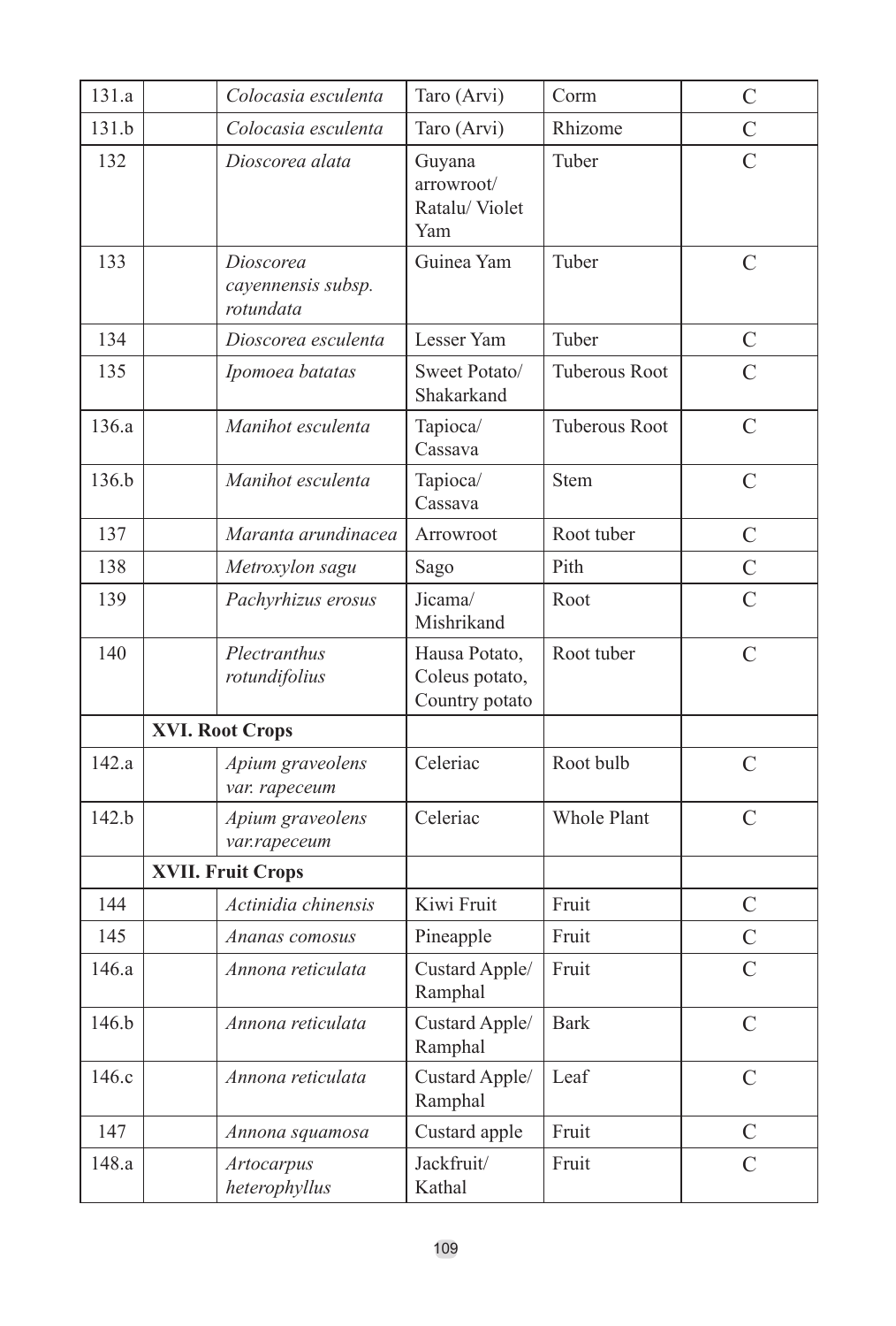| 131.a            | Colocasia esculenta                          | Taro (Arvi)                                       | Corm          | $\mathcal{C}$  |
|------------------|----------------------------------------------|---------------------------------------------------|---------------|----------------|
| 131.b            | Colocasia esculenta                          | Taro (Arvi)                                       | Rhizome       | $\mathcal{C}$  |
| 132              | Dioscorea alata                              | Guvana<br>arrowroot/<br>Ratalu/Violet<br>Yam      | Tuber         | $\overline{C}$ |
| 133              | Dioscorea<br>cayennensis subsp.<br>rotundata | Guinea Yam                                        | Tuber         | $\overline{C}$ |
| 134              | Dioscorea esculenta                          | Lesser Yam                                        | Tuber         | C              |
| 135              | Ipomoea batatas                              | Sweet Potato/<br>Shakarkand                       | Tuberous Root | $\overline{C}$ |
| 136.a            | Manihot esculenta                            | Tapioca/<br>Cassava                               | Tuberous Root | C              |
| 136.b            | Manihot esculenta                            | Tapioca/<br>Cassava                               | Stem          | $\overline{C}$ |
| 137              | Maranta arundinacea                          | Arrowroot                                         | Root tuber    | C              |
| 138              | Metroxylon sagu                              | Sago                                              | Pith          | $\overline{C}$ |
| 139              | Pachyrhizus erosus                           | Jicama/<br>Mishrikand                             | Root          | $\overline{C}$ |
| 140              | Plectranthus<br>rotundifolius                | Hausa Potato,<br>Coleus potato,<br>Country potato | Root tuber    | $\overline{C}$ |
|                  | <b>XVI. Root Crops</b>                       |                                                   |               |                |
| 142.a            | Apium graveolens<br>var. rapeceum            | Celeriac                                          | Root bulb     | $\overline{C}$ |
| 142.b            | Apium graveolens<br>var.rapeceum             | Celeriac                                          | Whole Plant   | $\overline{C}$ |
|                  | <b>XVII. Fruit Crops</b>                     |                                                   |               |                |
| 144              | Actinidia chinensis                          | Kiwi Fruit                                        | Fruit         | C              |
| 145              | Ananas comosus                               | Pineapple                                         | Fruit         | $\overline{C}$ |
| 146.a            | Annona reticulata                            | Custard Apple/<br>Ramphal                         | Fruit         | $\overline{C}$ |
| 146 <sub>b</sub> | Annona reticulata                            | Custard Apple/<br>Ramphal                         | <b>Bark</b>   | $\overline{C}$ |
| 146.c            | Annona reticulata                            | Custard Apple/<br>Ramphal                         | Leaf          | C              |
| 147              | Annona squamosa                              | Custard apple                                     | Fruit         | C              |
| 148.a            | <b>Artocarpus</b><br>heterophyllus           | Jackfruit/<br>Kathal                              | Fruit         | $\overline{C}$ |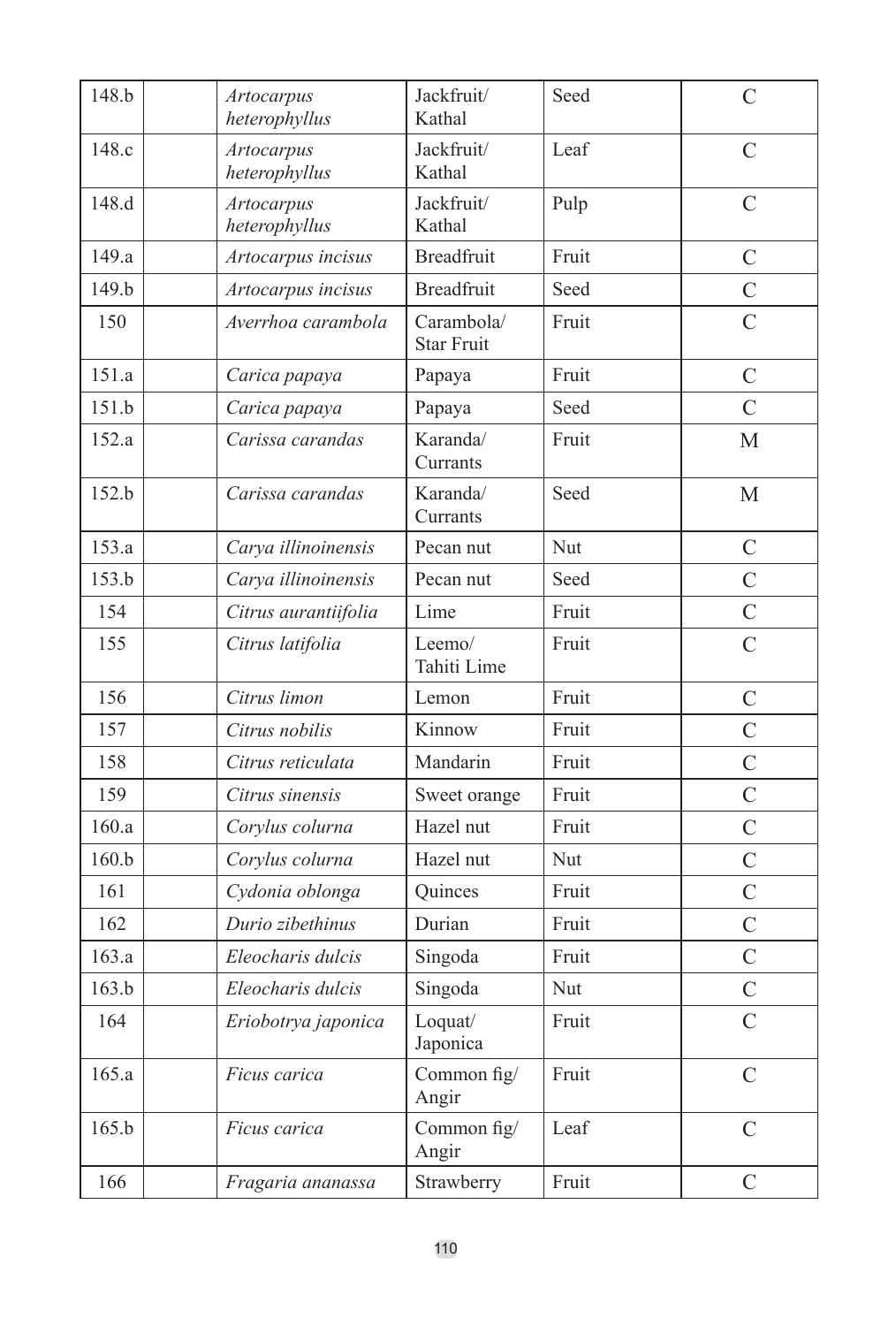| 148.b | <b>Artocarpus</b><br>heterophyllus | Jackfruit/<br>Kathal            | Seed  | $\mathcal{C}$  |
|-------|------------------------------------|---------------------------------|-------|----------------|
| 148.c | <b>Artocarpus</b><br>heterophyllus | Jackfruit/<br>Kathal            | Leaf  | $\overline{C}$ |
| 148.d | <b>Artocarpus</b><br>heterophyllus | Jackfruit/<br>Kathal            | Pulp  | $\mathcal{C}$  |
| 149.a | Artocarpus incisus                 | <b>Breadfruit</b>               | Fruit | $\overline{C}$ |
| 149.b | Artocarpus incisus                 | <b>Breadfruit</b>               | Seed  | $\mathcal{C}$  |
| 150   | Averrhoa carambola                 | Carambola/<br><b>Star Fruit</b> | Fruit | $\overline{C}$ |
| 151.a | Carica papaya                      | Papaya                          | Fruit | $\overline{C}$ |
| 151.b | Carica papaya                      | Papaya                          | Seed  | $\overline{C}$ |
| 152.a | Carissa carandas                   | Karanda/<br>Currants            | Fruit | М              |
| 152.b | Carissa carandas                   | Karanda/<br>Currants            | Seed  | $\mathbf{M}$   |
| 153.a | Carya illinoinensis                | Pecan nut                       | Nut   | $\mathcal{C}$  |
| 153.b | Carya illinoinensis                | Pecan nut                       | Seed  | $\overline{C}$ |
| 154   | Citrus aurantiifolia               | Lime                            | Fruit | $\overline{C}$ |
| 155   | Citrus latifolia                   | Leemo/<br>Tahiti Lime           | Fruit | $\overline{C}$ |
| 156   | Citrus limon                       | Lemon                           | Fruit | $\mathcal{C}$  |
| 157   | Citrus nobilis                     | Kinnow                          | Fruit | $\overline{C}$ |
| 158   | Citrus reticulata                  | Mandarin                        | Fruit | $\overline{C}$ |
| 159   | Citrus sinensis                    | Sweet orange                    | Fruit | $\overline{C}$ |
| 160.a | Corylus colurna                    | Hazel nut                       | Fruit | $\overline{C}$ |
| 160.b | Corylus colurna                    | Hazel nut                       | Nut   | $\mathcal{C}$  |
| 161   | Cydonia oblonga                    | Quinces                         | Fruit | $\overline{C}$ |
| 162   | Durio zibethinus                   | Durian                          | Fruit | $\mathcal{C}$  |
| 163.a | Eleocharis dulcis                  | Singoda                         | Fruit | $\overline{C}$ |
| 163.b | Eleocharis dulcis                  | Singoda                         | Nut   | $\mathcal{C}$  |
| 164   | Eriobotrya japonica                | Loquat/<br>Japonica             | Fruit | $\overline{C}$ |
| 165.a | Ficus carica                       | Common fig/<br>Angir            | Fruit | $\mathcal{C}$  |
| 165.b | Ficus carica                       | Common fig/<br>Angir            | Leaf  | $\mathcal{C}$  |
| 166   | Fragaria ananassa                  | Strawberry                      | Fruit | $\mathcal{C}$  |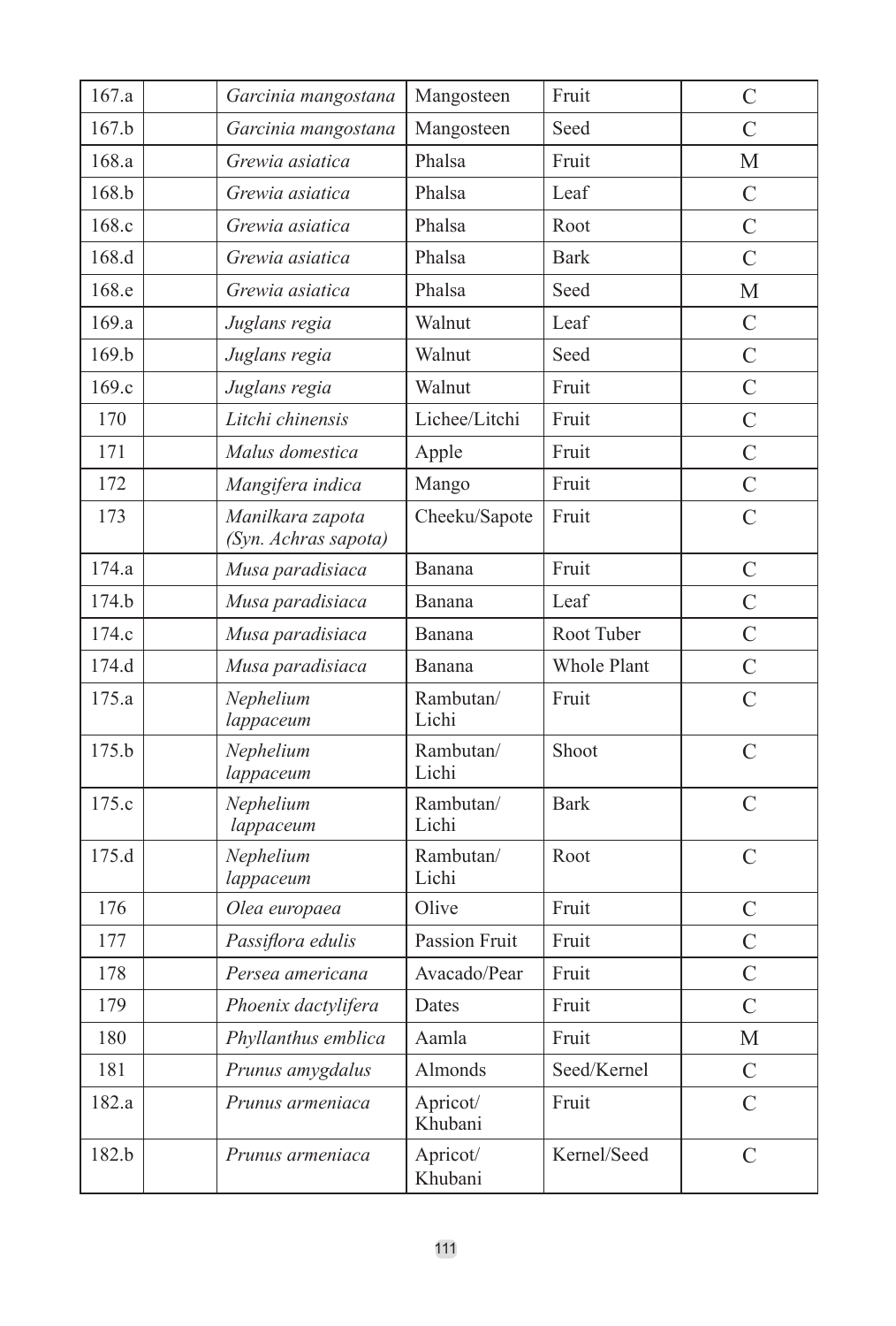| 167.a | Garcinia mangostana                      | Mangosteen          | Fruit       | $\overline{C}$ |
|-------|------------------------------------------|---------------------|-------------|----------------|
| 167.b | Garcinia mangostana                      | Mangosteen          | Seed        | C              |
| 168.a | Grewia asiatica                          | Phalsa              | Fruit       | М              |
| 168.b | Grewia asiatica                          | Phalsa              | Leaf        | $\overline{C}$ |
| 168.c | Grewia asiatica                          | Phalsa              | Root        | $\overline{C}$ |
| 168.d | Grewia asiatica                          | Phalsa              | <b>Bark</b> | $\overline{C}$ |
| 168.e | Grewia asiatica                          | Phalsa              | Seed        | M              |
| 169.a | Juglans regia                            | Walnut              | Leaf        | C              |
| 169.b | Juglans regia                            | Walnut              | Seed        | $\overline{C}$ |
| 169.c | Juglans regia                            | Walnut              | Fruit       | $\overline{C}$ |
| 170   | Litchi chinensis                         | Lichee/Litchi       | Fruit       | $\overline{C}$ |
| 171   | Malus domestica                          | Apple               | Fruit       | $\overline{C}$ |
| 172   | Mangifera indica                         | Mango               | Fruit       | $\overline{C}$ |
| 173   | Manilkara zapota<br>(Syn. Achras sapota) | Cheeku/Sapote       | Fruit       | $\overline{C}$ |
| 174.a | Musa paradisiaca                         | Banana              | Fruit       | $\overline{C}$ |
| 174.h | Musa paradisiaca                         | Banana              | Leaf        | $\overline{C}$ |
| 174.c | Musa paradisiaca                         | Banana              | Root Tuber  | $\overline{C}$ |
| 174.d | Musa paradisiaca                         | Banana              | Whole Plant | $\mathcal{C}$  |
| 175.a | Nephelium<br>lappaceum                   | Rambutan/<br>Lichi  | Fruit       | $\overline{C}$ |
| 175.b | Nephelium<br>lappaceum                   | Rambutan/<br>Lichi  | Shoot       | $\overline{C}$ |
| 175.c | Nephelium<br>lappaceum                   | Rambutan/<br>Lichi  | <b>Bark</b> | $\overline{C}$ |
| 175.d | Nephelium<br>lappaceum                   | Rambutan/<br>Lichi  | Root        | C              |
| 176   | Olea europaea                            | Olive               | Fruit       | C              |
| 177   | Passiflora edulis                        | Passion Fruit       | Fruit       | $\overline{C}$ |
| 178   | Persea americana                         | Avacado/Pear        | Fruit       | $\overline{C}$ |
| 179   | Phoenix dactylifera                      | Dates               | Fruit       | $\mathcal{C}$  |
| 180   | Phyllanthus emblica                      | Aamla               | Fruit       | М              |
| 181   | Prunus amygdalus                         | Almonds             | Seed/Kernel | $\overline{C}$ |
| 182.a | Prunus armeniaca                         | Apricot/<br>Khubani | Fruit       | $\overline{C}$ |
| 182.b | Prunus armeniaca                         | Apricot/<br>Khubani | Kernel/Seed | C              |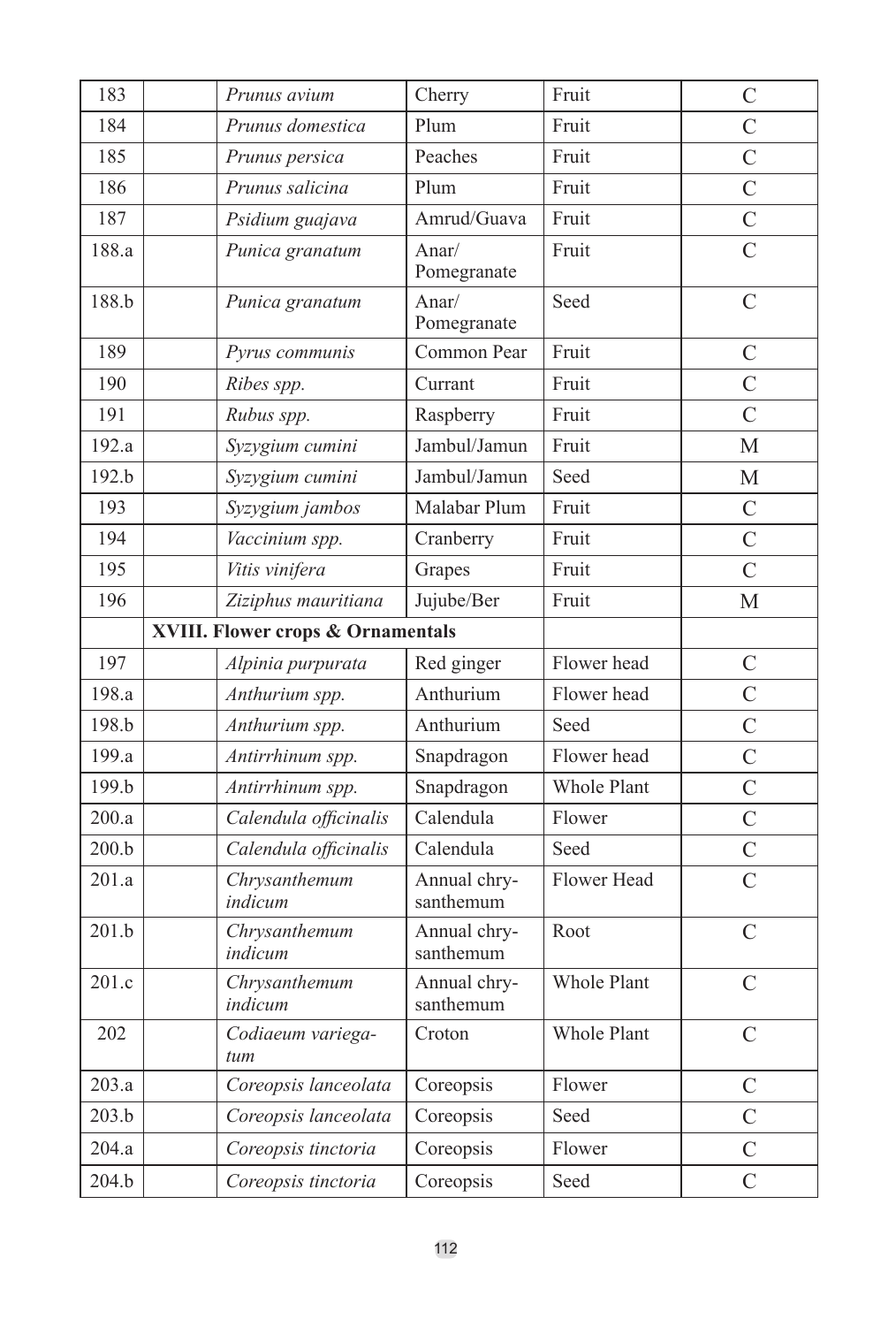| 183   | Prunus avium                                 | Cherry                    | Fruit       | $\overline{C}$     |
|-------|----------------------------------------------|---------------------------|-------------|--------------------|
| 184   | Prunus domestica                             | Plum                      | Fruit       | $\overline{C}$     |
| 185   | Prunus persica                               | Peaches                   | Fruit       | $\overline{C}$     |
| 186   | Prunus salicina                              | Plum                      | Fruit       | $\overline{\rm c}$ |
| 187   | Psidium guajava                              | Amrud/Guava               | Fruit       | $\overline{C}$     |
| 188.a | Punica granatum                              | Anar/<br>Pomegranate      | Fruit       | $\overline{C}$     |
| 188.b | Punica granatum                              | Anar/<br>Pomegranate      | Seed        | $\overline{C}$     |
| 189   | Pyrus communis                               | Common Pear               | Fruit       | C                  |
| 190   | Ribes spp.                                   | Currant                   | Fruit       | $\overline{C}$     |
| 191   | Rubus spp.                                   | Raspberry                 | Fruit       | $\overline{C}$     |
| 192.a | Syzygium cumini                              | Jambul/Jamun              | Fruit       | $\mathbf{M}$       |
| 192.b | Syzygium cumini                              | Jambul/Jamun              | Seed        | М                  |
| 193   | Syzygium jambos                              | Malabar Plum              | Fruit       | $\overline{C}$     |
| 194   | Vaccinium spp.                               | Cranberry                 | Fruit       | $\overline{C}$     |
| 195   | Vitis vinifera                               | Grapes                    | Fruit       | $\overline{C}$     |
| 196   | Ziziphus mauritiana                          | Jujube/Ber                | Fruit       | М                  |
|       | <b>XVIII. Flower crops &amp; Ornamentals</b> |                           |             |                    |
| 197   | Alpinia purpurata                            | Red ginger                | Flower head | $\overline{C}$     |
| 198.a | Anthurium spp.                               | Anthurium                 | Flower head | $\overline{C}$     |
| 198.b | Anthurium spp.                               | Anthurium                 | Seed        | $\overline{C}$     |
| 199.a | Antirrhinum spp.                             | Snapdragon                | Flower head | $\overline{C}$     |
| 199.b | Antirrhinum spp.                             | Snapdragon                | Whole Plant | $\overline{C}$     |
| 200.a | Calendula officinalis                        | Calendula                 | Flower      | $\mathcal{C}$      |
| 200.b | Calendula officinalis                        | Calendula                 | Seed        | $\overline{C}$     |
| 201.a | Chrysanthemum<br>indicum                     | Annual chry-<br>santhemum | Flower Head | $\overline{C}$     |
| 201.h | Chrysanthemum<br>indicum                     | Annual chry-<br>santhemum | Root        | $\overline{C}$     |
| 201.c | Chrysanthemum<br>indicum                     | Annual chry-<br>santhemum | Whole Plant | $\overline{C}$     |
| 202   | Codiaeum variega-<br>tum                     | Croton                    | Whole Plant | $\overline{C}$     |
| 203.a | Coreopsis lanceolata                         | Coreopsis                 | Flower      | $\mathcal{C}$      |
| 203.b | Coreopsis lanceolata                         | Coreopsis                 | Seed        | $\overline{C}$     |
| 204.a | Coreopsis tinctoria                          | Coreopsis                 | Flower      | $\overline{C}$     |
| 204.b | Coreopsis tinctoria                          | Coreopsis                 | Seed        | $\overline{C}$     |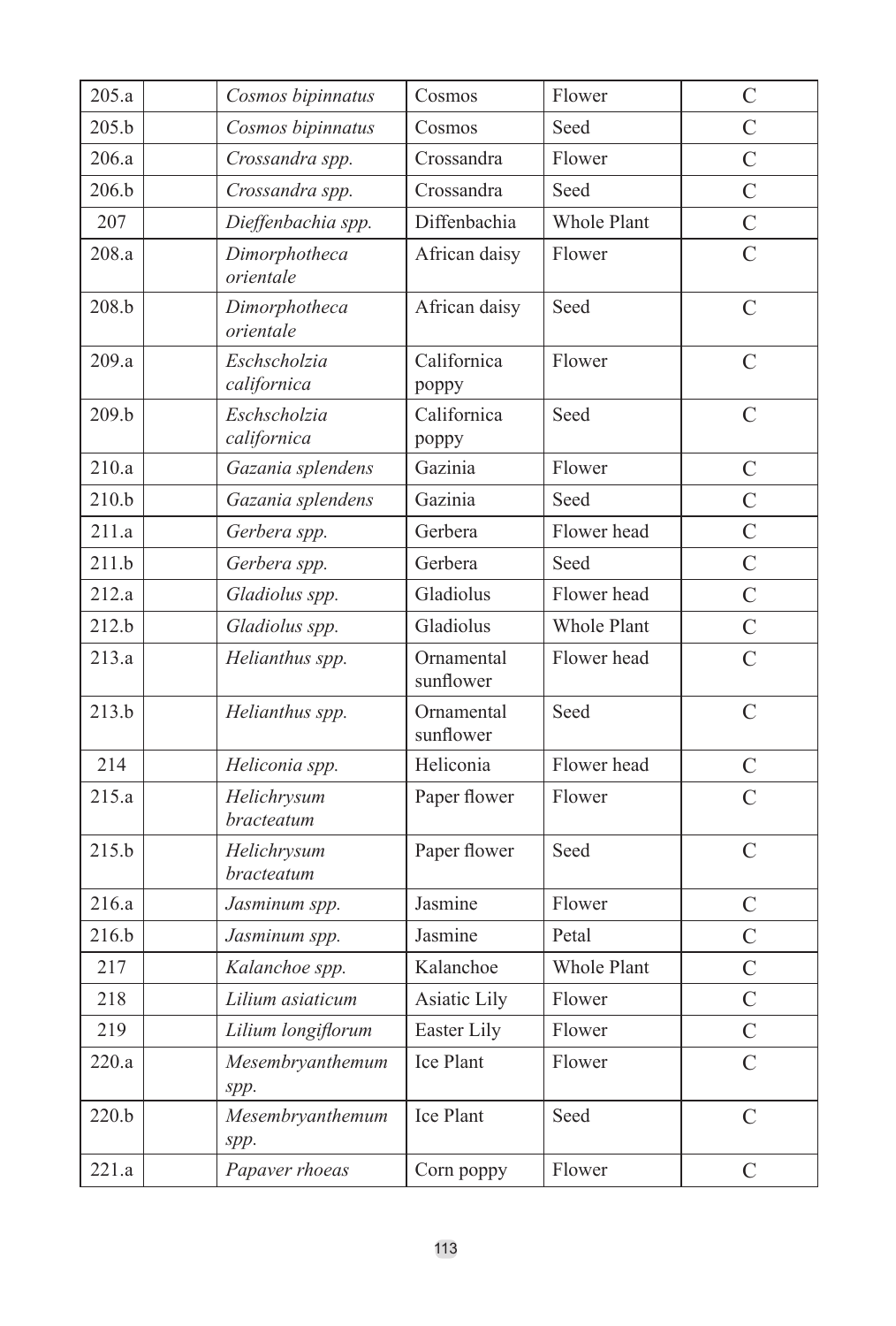| 205.a | Cosmos bipinnatus           | Cosmos                  | Flower             | $\overline{C}$ |
|-------|-----------------------------|-------------------------|--------------------|----------------|
| 205.b | Cosmos bipinnatus           | Cosmos                  | Seed               | C              |
| 206.a | Crossandra spp.             | Crossandra              | Flower             | $\overline{C}$ |
| 206.b | Crossandra spp.             | Crossandra              | Seed               | $\overline{C}$ |
| 207   | Dieffenbachia spp.          | Diffenbachia            | Whole Plant        | $\overline{C}$ |
| 208.a | Dimorphotheca<br>orientale  | African daisy           | Flower             | $\overline{C}$ |
| 208.b | Dimorphotheca<br>orientale  | African daisy           | Seed               | $\overline{C}$ |
| 209.a | Eschscholzia<br>californica | Californica<br>poppy    | Flower             | $\mathcal{C}$  |
| 209.b | Eschscholzia<br>californica | Californica<br>poppy    | Seed               | $\overline{C}$ |
| 210.a | Gazania splendens           | Gazinia                 | Flower             | C              |
| 210.b | Gazania splendens           | Gazinia                 | Seed               | $\overline{C}$ |
| 211.a | Gerbera spp.                | Gerbera                 | Flower head        | $\overline{C}$ |
| 211.b | Gerbera spp.                | Gerbera                 | Seed               | $\overline{C}$ |
| 212.a | Gladiolus spp.              | Gladiolus               | Flower head        | $\overline{C}$ |
| 212.b | Gladiolus spp.              | Gladiolus               | Whole Plant        | $\mathcal{C}$  |
| 213.a | Helianthus spp.             | Ornamental<br>sunflower | Flower head        | $\overline{C}$ |
| 213.b | Helianthus spp.             | Ornamental<br>sunflower | Seed               | $\overline{C}$ |
| 214   | Heliconia spp.              | Heliconia               | Flower head        | $\mathcal{C}$  |
| 215.a | Helichrysum<br>bracteatum   | Paper flower            | Flower             | $\overline{C}$ |
| 215.b | Helichrysum<br>bracteatum   | Paper flower            | Seed               | $\mathcal{C}$  |
| 216.a | Jasminum spp.               | Jasmine                 | Flower             | $\overline{C}$ |
| 216.b | Jasminum spp.               | Jasmine                 | Petal              | $\overline{C}$ |
| 217   | Kalanchoe spp.              | Kalanchoe               | <b>Whole Plant</b> | $\overline{C}$ |
| 218   | Lilium asiaticum            | Asiatic Lily            | Flower             | $\overline{C}$ |
| 219   | Lilium longiflorum          | Easter Lily             | Flower             | $\mathcal{C}$  |
| 220.a | Mesembryanthemum<br>spp.    | Ice Plant               | Flower             | $\overline{C}$ |
| 220.b | Mesembryanthemum<br>spp.    | Ice Plant               | Seed               | $\mathcal{C}$  |
| 221.a | Papaver rhoeas              | Corn poppy              | Flower             | $\overline{C}$ |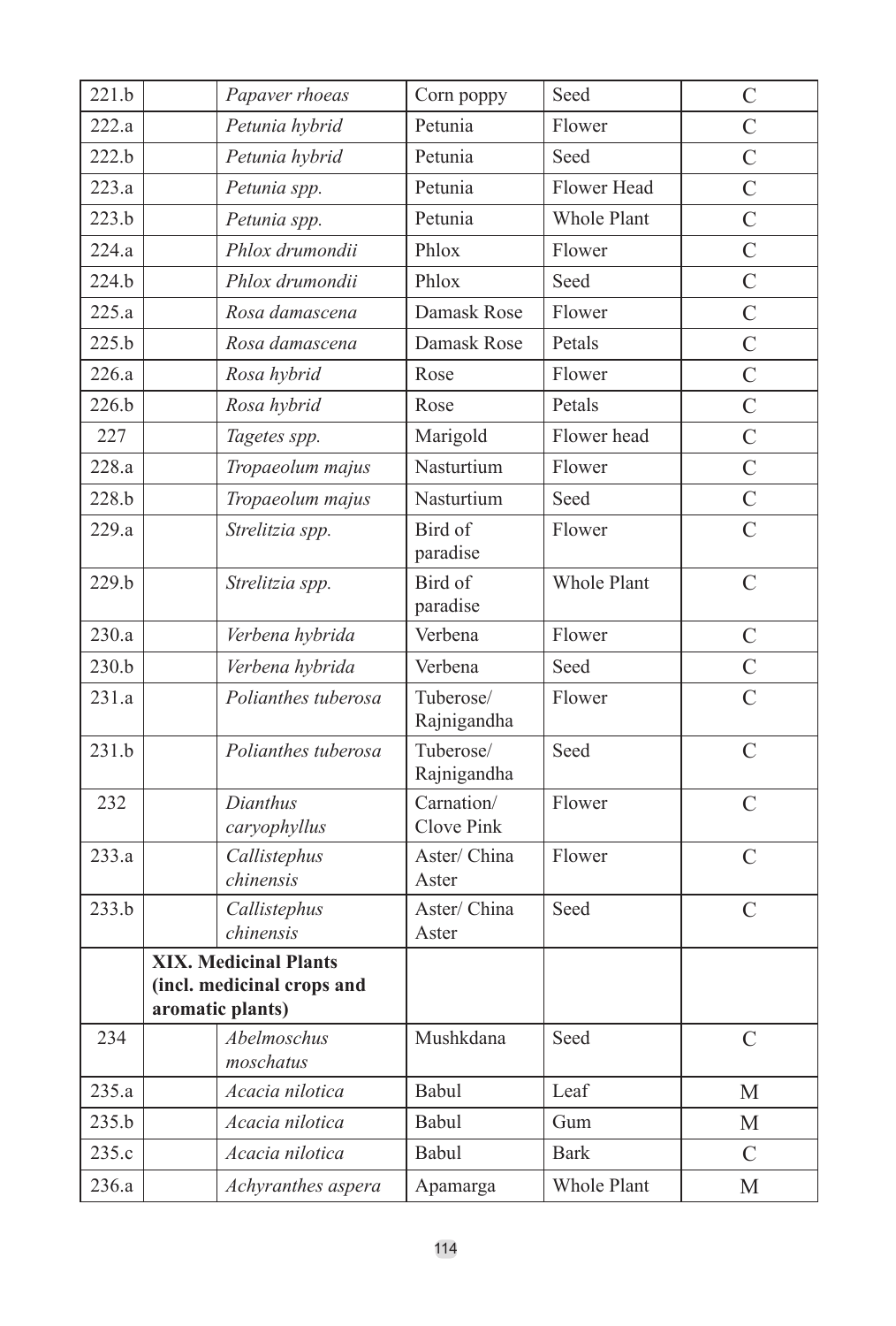| 221.b | Papaver rhoeas               | Corn poppy               | Seed        | $\mathcal{C}$  |
|-------|------------------------------|--------------------------|-------------|----------------|
| 222.a | Petunia hybrid               | Petunia                  | Flower      | $\overline{C}$ |
| 222.b | Petunia hybrid               | Petunia                  | Seed        | $\overline{C}$ |
| 223.a | Petunia spp.                 | Petunia                  | Flower Head | $\overline{C}$ |
| 223.b | Petunia spp.                 | Petunia                  | Whole Plant | $\overline{C}$ |
| 224.a | Phlox drumondii              | Phlox                    | Flower      | $\overline{C}$ |
| 224.b | Phlox drumondii              | Phlox                    | Seed        | $\overline{C}$ |
| 225.a | Rosa damascena               | Damask Rose              | Flower      | $\overline{C}$ |
| 225.b | Rosa damascena               | Damask Rose              | Petals      | $\overline{C}$ |
| 226.a | Rosa hybrid                  | Rose                     | Flower      | $\overline{C}$ |
| 226.b | Rosa hybrid                  | Rose                     | Petals      | $\overline{C}$ |
| 227   | Tagetes spp.                 | Marigold                 | Flower head | $\overline{C}$ |
| 228.a | Tropaeolum majus             | Nasturtium               | Flower      | $\overline{C}$ |
| 228.b | Tropaeolum majus             | Nasturtium               | Seed        | $\overline{C}$ |
| 229.a | Strelitzia spp.              | Bird of<br>paradise      | Flower      | $\overline{C}$ |
| 229.b | Strelitzia spp.              | Bird of<br>paradise      | Whole Plant | $\overline{C}$ |
| 230.a | Verbena hybrida              | Verbena                  | Flower      | $\overline{C}$ |
| 230.h | Verbena hybrida              | Verbena                  | Seed        | $\overline{C}$ |
| 231.a | Polianthes tuberosa          | Tuberose/<br>Rajnigandha | Flower      | $\mathcal{C}$  |
| 231.b | Polianthes tuberosa          | Tuberose/<br>Rajnigandha | Seed        | $\overline{C}$ |
| 232   | Dianthus<br>caryophyllus     | Carnation/<br>Clove Pink | Flower      | $\mathcal{C}$  |
| 233.a | Callistephus<br>chinensis    | Aster/China<br>Aster     | Flower      | $\overline{C}$ |
| 233.b | Callistephus<br>chinensis    | Aster/China<br>Aster     | Seed        | $\overline{C}$ |
|       | <b>XIX. Medicinal Plants</b> |                          |             |                |
|       | (incl. medicinal crops and   |                          |             |                |
|       | aromatic plants)             |                          |             |                |
| 234   | Abelmoschus<br>moschatus     | Mushkdana                | Seed        | $\mathcal{C}$  |
| 235.a | Acacia nilotica              | Babul                    | Leaf        | М              |
| 235.b | Acacia nilotica              | Babul                    | Gum         | M              |
| 235.c | Acacia nilotica              | <b>Babul</b>             | <b>Bark</b> | $\mathcal{C}$  |
| 236.a | Achyranthes aspera           | Apamarga                 | Whole Plant | М              |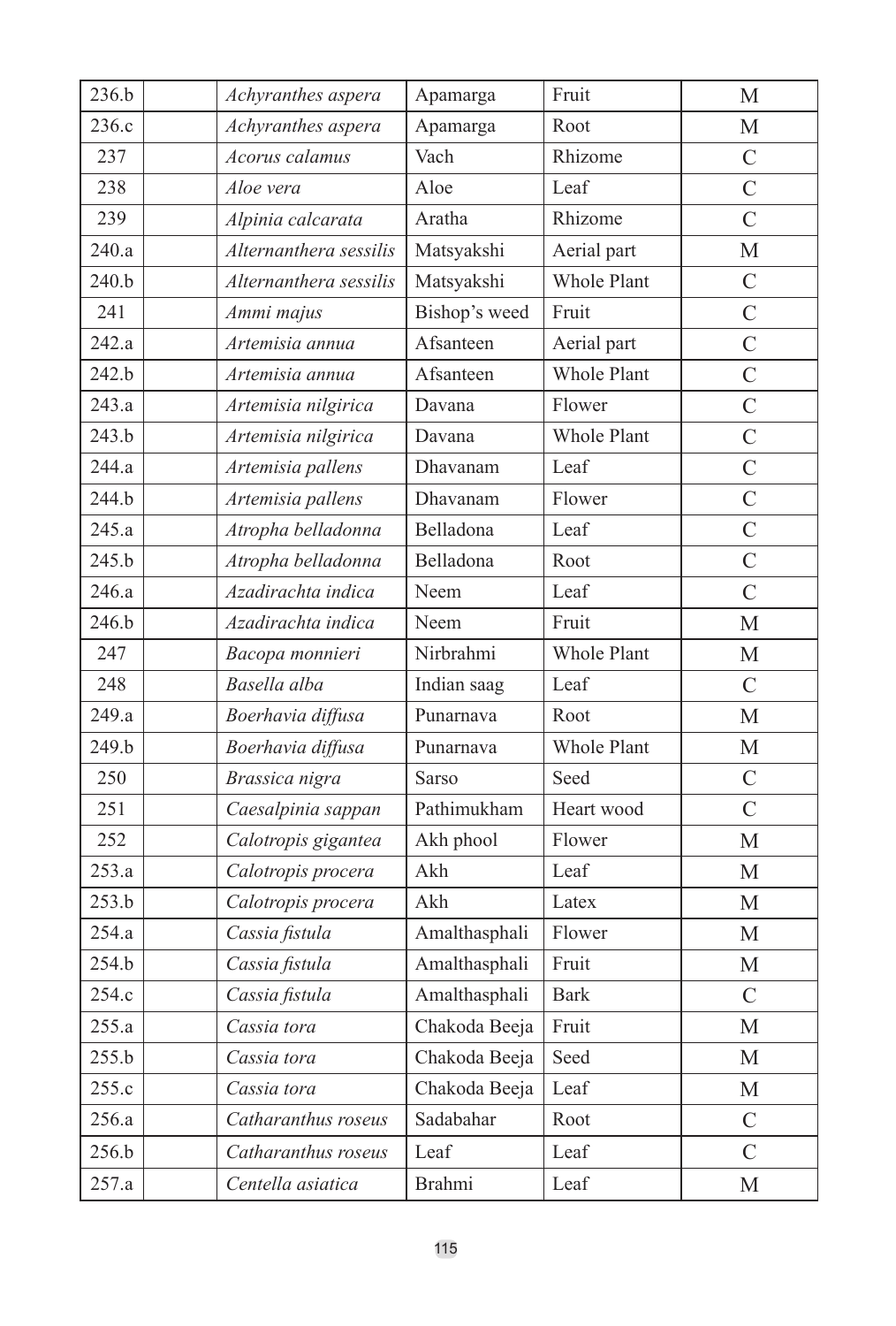| 236.b | Achyranthes aspera     | Apamarga      | Fruit       | М              |
|-------|------------------------|---------------|-------------|----------------|
| 236.c | Achyranthes aspera     | Apamarga      | Root        | М              |
| 237   | Acorus calamus         | Vach          | Rhizome     | $\mathcal{C}$  |
| 238   | Aloe vera              | Aloe          | Leaf        | $\overline{C}$ |
| 239   | Alpinia calcarata      | Aratha        | Rhizome     | $\overline{C}$ |
| 240.a | Alternanthera sessilis | Matsyakshi    | Aerial part | М              |
| 240.b | Alternanthera sessilis | Matsyakshi    | Whole Plant | $\mathcal{C}$  |
| 241   | Ammi majus             | Bishop's weed | Fruit       | $\overline{C}$ |
| 242.a | Artemisia annua        | Afsanteen     | Aerial part | $\overline{C}$ |
| 242.b | Artemisia annua        | Afsanteen     | Whole Plant | $\overline{C}$ |
| 243.a | Artemisia nilgirica    | Davana        | Flower      | $\overline{C}$ |
| 243.b | Artemisia nilgirica    | Davana        | Whole Plant | $\overline{C}$ |
| 244.a | Artemisia pallens      | Dhavanam      | Leaf        | $\overline{C}$ |
| 244.b | Artemisia pallens      | Dhavanam      | Flower      | $\overline{C}$ |
| 245.a | Atropha belladonna     | Belladona     | Leaf        | $\overline{C}$ |
| 245.b | Atropha belladonna     | Belladona     | Root        | $\overline{C}$ |
| 246.a | Azadirachta indica     | Neem          | Leaf        | $\mathcal{C}$  |
| 246.b | Azadirachta indica     | Neem          | Fruit       | М              |
| 247   | Bacopa monnieri        | Nirbrahmi     | Whole Plant | М              |
| 248   | Basella alba           | Indian saag   | Leaf        | $\mathcal{C}$  |
| 249.a | Boerhavia diffusa      | Punarnava     | Root        | М              |
| 249.b | Boerhavia diffusa      | Punarnava     | Whole Plant | М              |
| 250   | Brassica nigra         | Sarso         | Seed        | $\overline{C}$ |
| 251   | Caesalpinia sappan     | Pathimukham   | Heart wood  | $\mathcal{C}$  |
| 252   | Calotropis gigantea    | Akh phool     | Flower      | $\mathbf{M}$   |
| 253.a | Calotropis procera     | Akh           | Leaf        | М              |
| 253.b | Calotropis procera     | Akh           | Latex       | M              |
| 254.a | Cassia fistula         | Amalthasphali | Flower      | М              |
| 254.b | Cassia fistula         | Amalthasphali | Fruit       | М              |
| 254.c | Cassia fistula         | Amalthasphali | <b>Bark</b> | $\overline{C}$ |
| 255.a | Cassia tora            | Chakoda Beeja | Fruit       | M              |
| 255.b | Cassia tora            | Chakoda Beeja | Seed        | М              |
| 255.c | Cassia tora            | Chakoda Beeja | Leaf        | М              |
| 256.a | Catharanthus roseus    | Sadabahar     | Root        | $\mathcal{C}$  |
| 256.b | Catharanthus roseus    | Leaf          | Leaf        | $\overline{C}$ |
| 257.a | Centella asiatica      | Brahmi        | Leaf        | М              |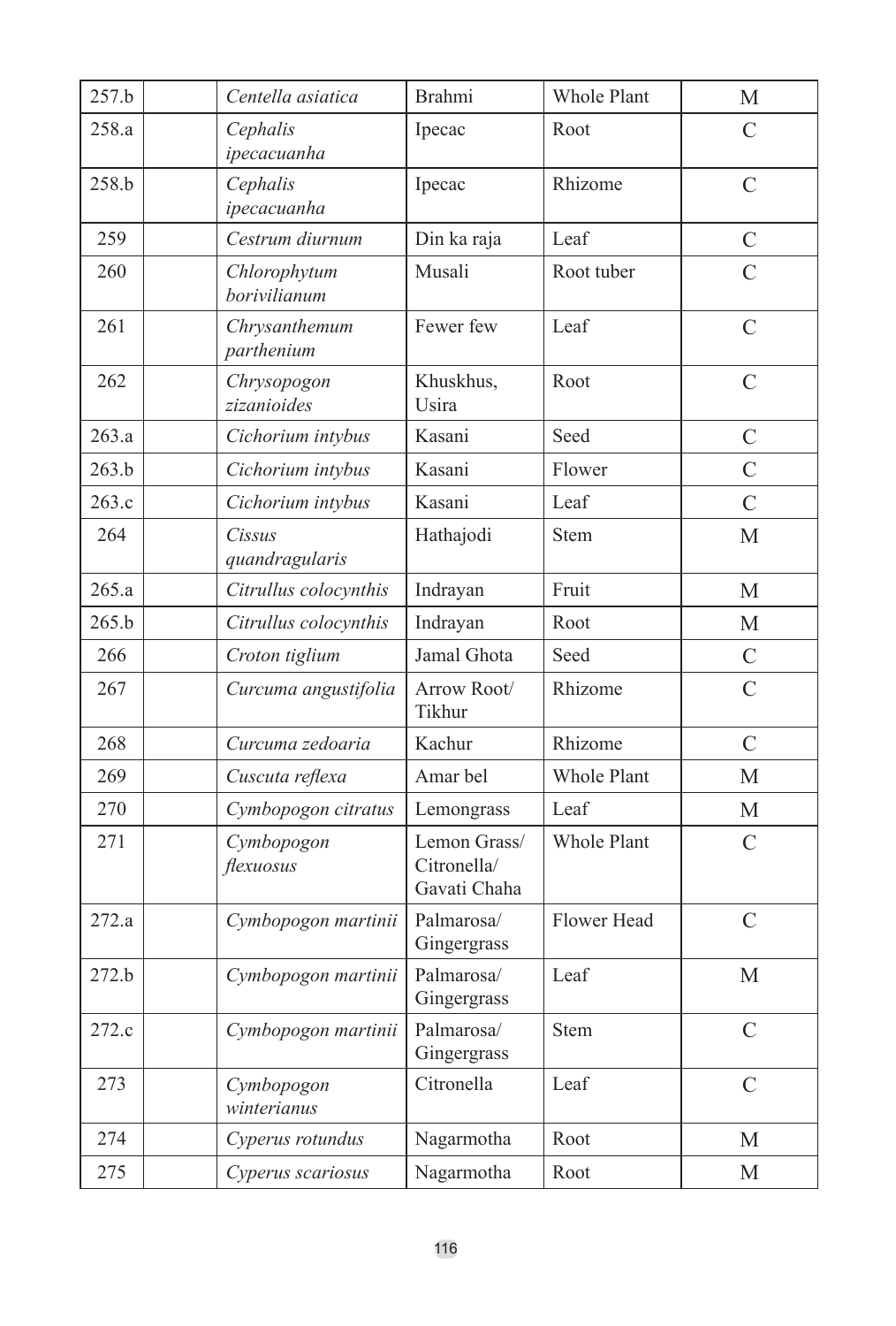| 257.b | Centella asiatica            | Brahmi                                      | Whole Plant | M              |
|-------|------------------------------|---------------------------------------------|-------------|----------------|
| 258.a | Cephalis<br>ipecacuanha      | Ipecac                                      | Root        | C              |
| 258.b | Cephalis<br>ipecacuanha      | Ipecac                                      | Rhizome     | C              |
| 259   | Cestrum diurnum              | Din ka raja                                 | Leaf        | $\mathcal{C}$  |
| 260   | Chlorophytum<br>borivilianum | Musali                                      | Root tuber  | $\overline{C}$ |
| 261   | Chrysanthemum<br>parthenium  | Fewer few                                   | Leaf        | $\overline{C}$ |
| 262   | Chrysopogon<br>zizanioides   | Khuskhus,<br>Usira                          | Root        | $\mathcal{C}$  |
| 263.a | Cichorium intybus            | Kasani                                      | Seed        | $\mathcal{C}$  |
| 263.b | Cichorium intybus            | Kasani                                      | Flower      | $\mathcal{C}$  |
| 263.c | Cichorium intybus            | Kasani                                      | Leaf        | $\overline{C}$ |
| 264   | Cissus<br>quandragularis     | Hathajodi                                   | <b>Stem</b> | М              |
| 265.a | Citrullus colocynthis        | Indrayan                                    | Fruit       | М              |
| 265.b | Citrullus colocynthis        | Indrayan                                    | Root        | М              |
| 266   | Croton tiglium               | Jamal Ghota                                 | Seed        | $\mathcal{C}$  |
| 267   | Curcuma angustifolia         | Arrow Root/<br>Tikhur                       | Rhizome     | $\mathcal{C}$  |
| 268   | Curcuma zedoaria             | Kachur                                      | Rhizome     | $\overline{C}$ |
| 269   | Cuscuta reflexa              | Amar bel                                    | Whole Plant | M              |
| 270   | Cymbopogon citratus          | Lemongrass                                  | Leaf        | М              |
| 271   | Cymbopogon<br>flexuosus      | Lemon Grass/<br>Citronella/<br>Gavati Chaha | Whole Plant | $\mathcal{C}$  |
| 272.a | Cymbopogon martinii          | Palmarosa/<br>Gingergrass                   | Flower Head | $\overline{C}$ |
| 272.b | Cymbopogon martinii          | Palmarosa/<br>Gingergrass                   | Leaf        | M              |
| 272.c | Cymbopogon martinii          | Palmarosa/<br>Gingergrass                   | <b>Stem</b> | $\mathcal{C}$  |
| 273   | Cymbopogon<br>winterianus    | Citronella                                  | Leaf        | $\overline{C}$ |
| 274   | Cyperus rotundus             | Nagarmotha                                  | Root        | М              |
| 275   | Cyperus scariosus            | Nagarmotha                                  | Root        | М              |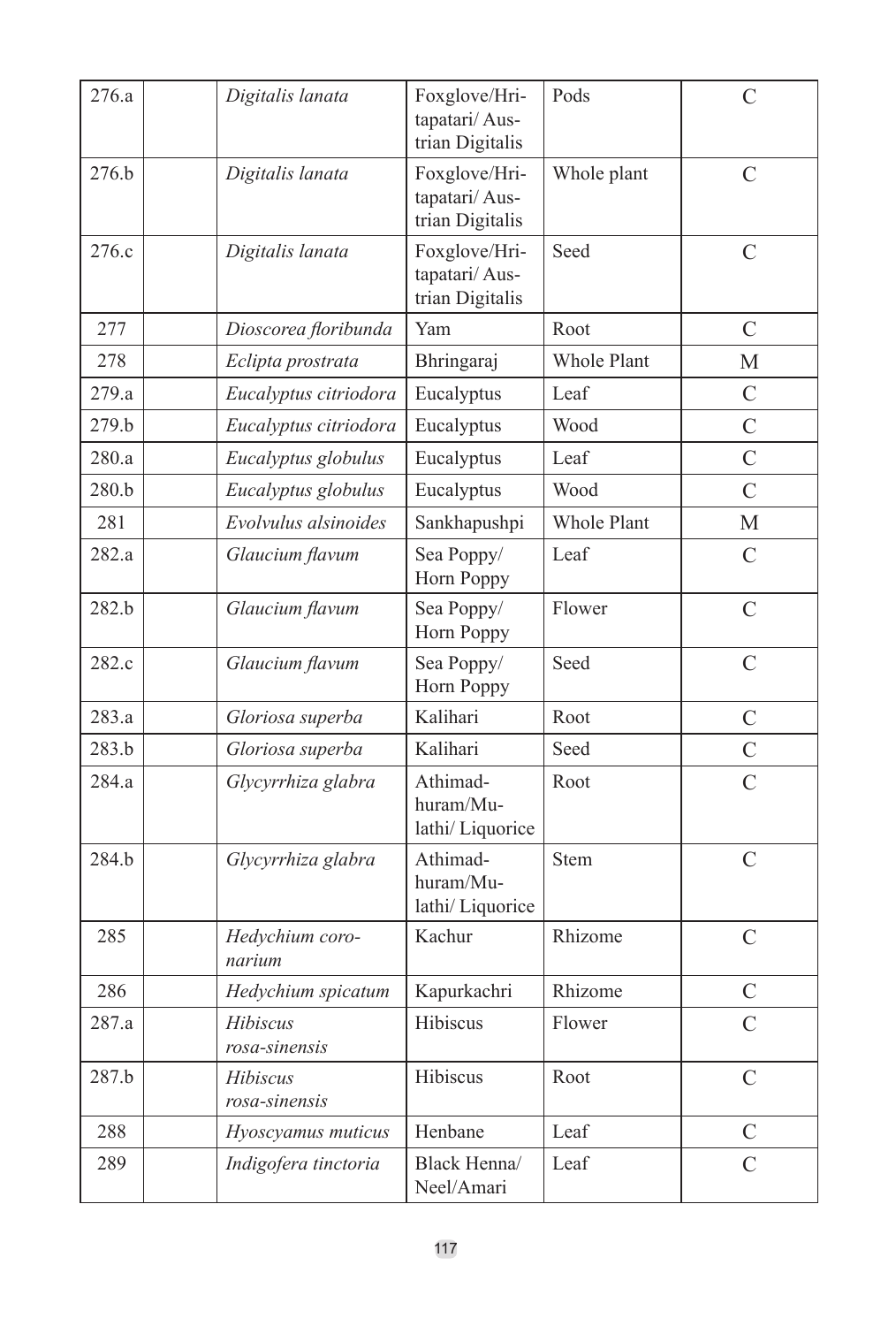| 276.a            | Digitalis lanata          | Foxglove/Hri-<br>tapatari/Aus-<br>trian Digitalis | Pods               | C              |
|------------------|---------------------------|---------------------------------------------------|--------------------|----------------|
| 276.b            | Digitalis lanata          | Foxglove/Hri-<br>tapatari/Aus-<br>trian Digitalis | Whole plant        | $\mathcal{C}$  |
| 276.c            | Digitalis lanata          | Foxglove/Hri-<br>tapatari/Aus-<br>trian Digitalis | Seed               | $\overline{C}$ |
| 277              | Dioscorea floribunda      | Yam                                               | Root               | C              |
| 2.78             | Eclipta prostrata         | Bhringaraj                                        | Whole Plant        | M              |
| 279.a            | Eucalyptus citriodora     | Eucalyptus                                        | Leaf               | C              |
| 279.b            | Eucalyptus citriodora     | Eucalyptus                                        | Wood               | $\overline{C}$ |
| 280.a            | Eucalyptus globulus       | Eucalyptus                                        | Leaf               | $\overline{C}$ |
| 280.b            | Eucalyptus globulus       | Eucalyptus                                        | Wood               | $\overline{C}$ |
| 281              | Evolvulus alsinoides      | Sankhapushpi                                      | <b>Whole Plant</b> | М              |
| 282.a            | Glaucium flavum           | Sea Poppy/<br>Horn Poppy                          | Leaf               | $\mathcal{C}$  |
| 282.b            | Glaucium flavum           | Sea Poppy/<br>Horn Poppy                          | Flower             | $\overline{C}$ |
| 282.c            | Glaucium flavum           | Sea Poppy/<br>Horn Poppy                          | Seed               | $\overline{C}$ |
| 283.a            | Gloriosa superba          | Kalihari                                          | Root               | C              |
| 283 <sub>h</sub> | Gloriosa superba          | Kalihari                                          | Seed               | $\overline{C}$ |
| 284.a            | Glycyrrhiza glabra        | Athimad-<br>huram/Mu-<br>lathi/Liquorice          | Root               | $\overline{C}$ |
| 284.b            | Glycyrrhiza glabra        | Athimad-<br>huram/Mu-<br>lathi/Liquorice          | <b>Stem</b>        | $\overline{C}$ |
| 285              | Hedychium coro-<br>narium | Kachur                                            | Rhizome            | $\overline{C}$ |
| 286              | Hedychium spicatum        | Kapurkachri                                       | Rhizome            | C              |
| 287.a            | Hibiscus<br>rosa-sinensis | Hibiscus                                          | Flower             | $\overline{C}$ |
| 287.b            | Hibiscus<br>rosa-sinensis | Hibiscus                                          | Root               | $\mathcal{C}$  |
| 288              | Hyoscyamus muticus        | Henbane                                           | Leaf               | $\mathcal{C}$  |
| 289              | Indigofera tinctoria      | Black Henna/<br>Neel/Amari                        | Leaf               | $\overline{C}$ |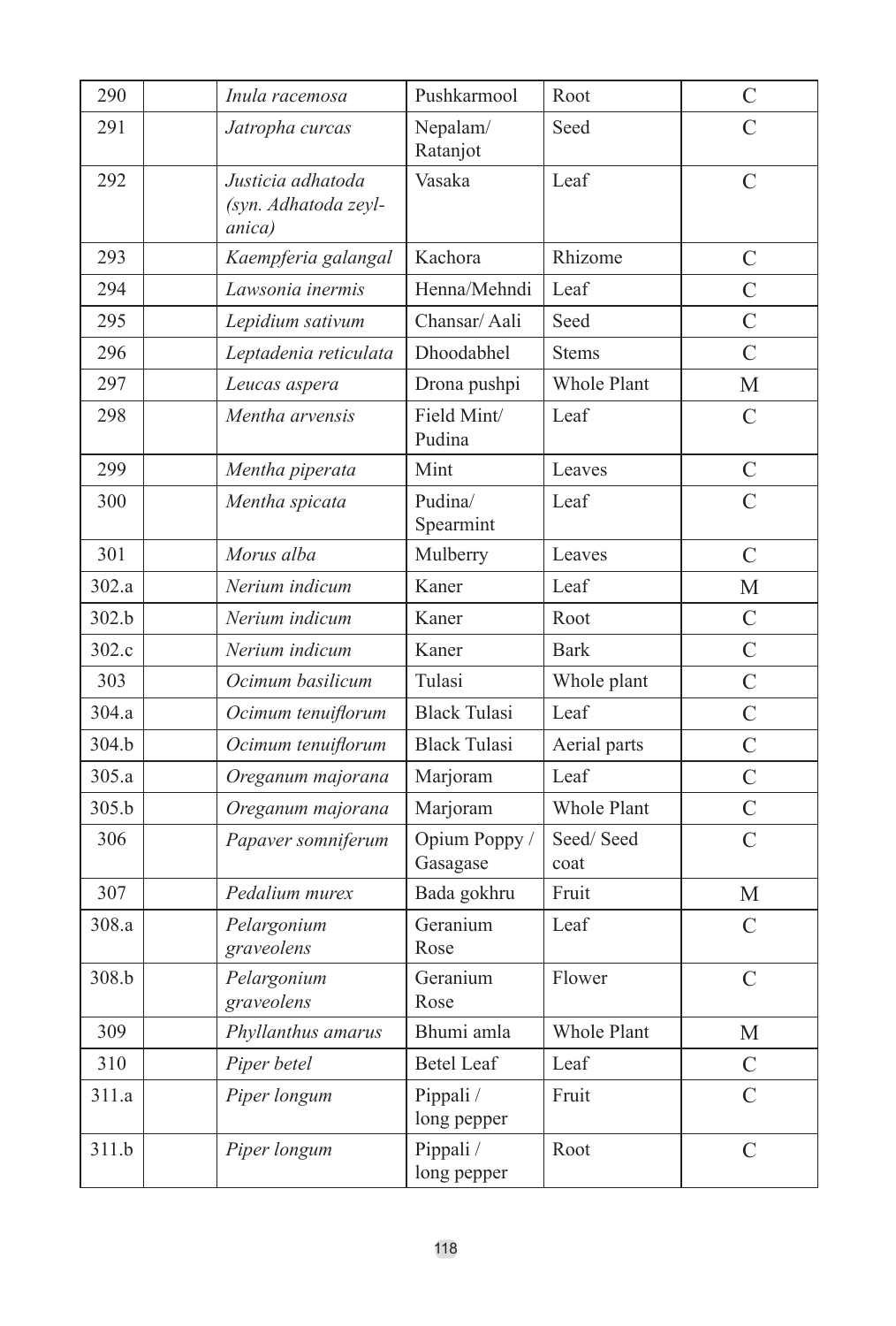| 290   | Inula racemosa                                      | Pushkarmool               | Root               | $\mathcal{C}$  |
|-------|-----------------------------------------------------|---------------------------|--------------------|----------------|
| 291   | Jatropha curcas                                     | Nepalam/<br>Ratanjot      | Seed               | $\overline{C}$ |
| 292   | Justicia adhatoda<br>(syn. Adhatoda zeyl-<br>anica) | Vasaka                    | Leaf               | $\overline{C}$ |
| 293   | Kaempferia galangal                                 | Kachora                   | Rhizome            | $\overline{C}$ |
| 294   | Lawsonia inermis                                    | Henna/Mehndi              | Leaf               | $\overline{C}$ |
| 295   | Lepidium sativum                                    | Chansar/Aali              | Seed               | $\overline{C}$ |
| 296   | Leptadenia reticulata                               | Dhoodabhel                | <b>Stems</b>       | $\overline{C}$ |
| 297   | Leucas aspera                                       | Drona pushpi              | Whole Plant        | М              |
| 298   | Mentha arvensis                                     | Field Mint/<br>Pudina     | Leaf               | C              |
| 299   | Mentha piperata                                     | Mint                      | Leaves             | $\mathcal{C}$  |
| 300   | Mentha spicata                                      | Pudina/<br>Spearmint      | Leaf               | $\overline{C}$ |
| 301   | Morus alba                                          | Mulberry                  | Leaves             | $\overline{C}$ |
| 302.a | Nerium indicum                                      | Kaner                     | Leaf               | М              |
| 302.b | Nerium indicum                                      | Kaner                     | Root               | $\overline{C}$ |
| 302.c | Nerium indicum                                      | Kaner                     | <b>Bark</b>        | $\overline{C}$ |
| 303   | Ocimum basilicum                                    | Tulasi                    | Whole plant        | $\overline{C}$ |
| 304.a | Ocimum tenuiflorum                                  | <b>Black Tulasi</b>       | Leaf               | $\overline{C}$ |
| 304.b | Ocimum tenuiflorum                                  | <b>Black Tulasi</b>       | Aerial parts       | $\overline{C}$ |
| 305.a | Oreganum majorana                                   | Marjoram                  | Leaf               | $\overline{C}$ |
| 305.b | Oreganum majorana                                   | Marjoram                  | <b>Whole Plant</b> | $\mathcal{C}$  |
| 306   | Papaver somniferum                                  | Opium Poppy /<br>Gasagase | Seed/Seed<br>coat  | $\overline{C}$ |
| 307   | Pedalium murex                                      | Bada gokhru               | Fruit              | М              |
| 308.a | Pelargonium<br>graveolens                           | Geranium<br>Rose          | Leaf               | $\mathcal{C}$  |
| 308.b | Pelargonium<br>graveolens                           | Geranium<br>Rose          | Flower             | $\overline{C}$ |
| 309   | Phyllanthus amarus                                  | Bhumi amla                | <b>Whole Plant</b> | M              |
| 310   | Piper betel                                         | <b>Betel Leaf</b>         | Leaf               | $\mathcal{C}$  |
| 311.a | Piper longum                                        | Pippali /<br>long pepper  | Fruit              | $\overline{C}$ |
| 311.b | Piper longum                                        | Pippali /<br>long pepper  | Root               | $\mathcal{C}$  |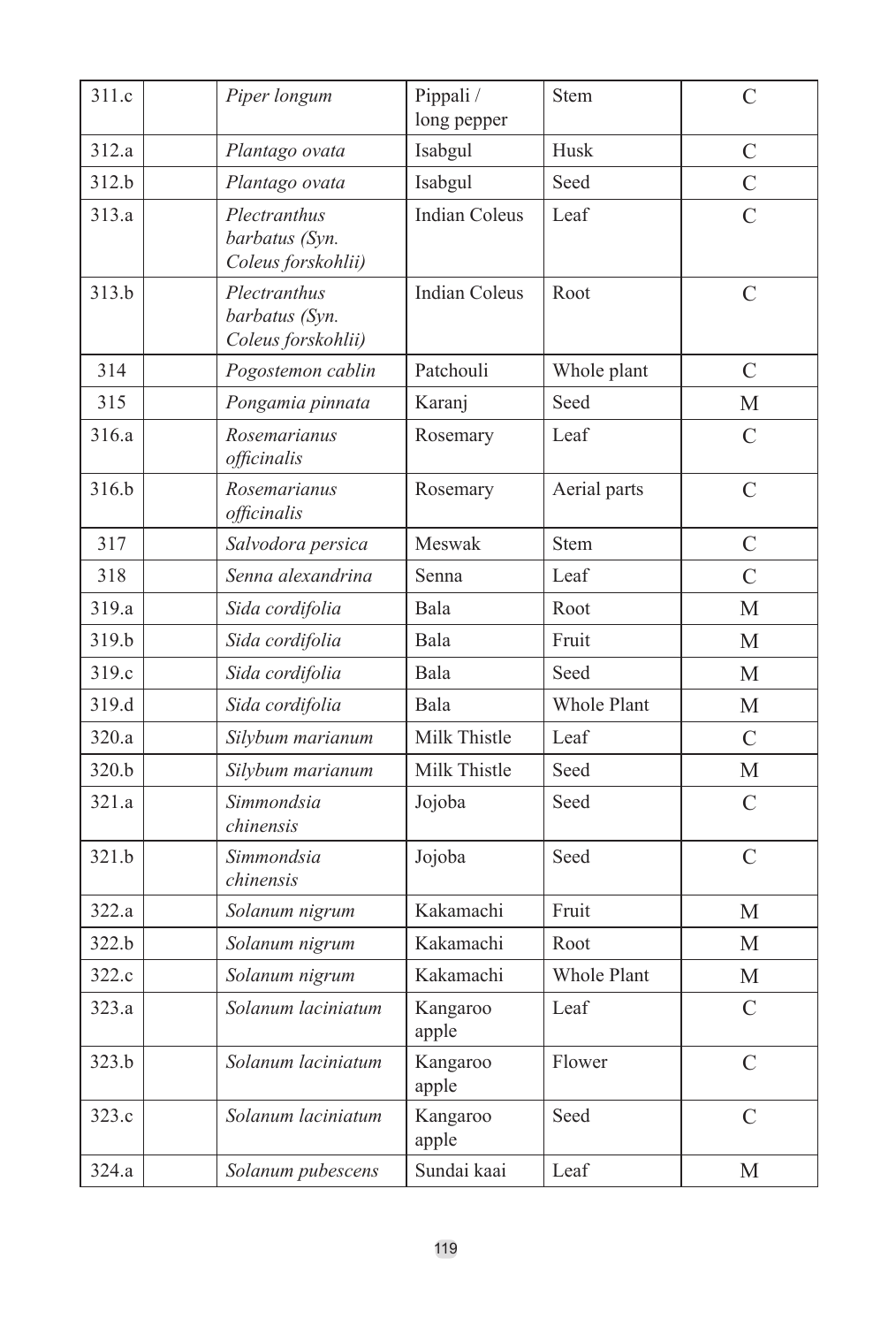| 311.c | Piper longum                                         | Pippali /<br>long pepper | Stem               | C              |
|-------|------------------------------------------------------|--------------------------|--------------------|----------------|
| 312.a | Plantago ovata                                       | Isabgul                  | Husk               | $\mathcal{C}$  |
| 312.b | Plantago ovata                                       | Isabgul                  | Seed               | $\mathcal{C}$  |
| 313.a | Plectranthus<br>barbatus (Syn.<br>Coleus forskohlii) | <b>Indian Coleus</b>     | Leaf               | C              |
| 313.b | Plectranthus<br>barbatus (Syn.<br>Coleus forskohlii) | <b>Indian Coleus</b>     | Root               | $\mathcal{C}$  |
| 314   | Pogostemon cablin                                    | Patchouli                | Whole plant        | $\overline{C}$ |
| 315   | Pongamia pinnata                                     | Karanj                   | Seed               | М              |
| 316.a | Rosemarianus<br>officinalis                          | Rosemary                 | Leaf               | $\overline{C}$ |
| 316.b | Rosemarianus<br>officinalis                          | Rosemary                 | Aerial parts       | $\overline{C}$ |
| 317   | Salvodora persica                                    | Meswak                   | <b>Stem</b>        | C              |
| 318   | Senna alexandrina                                    | Senna                    | Leaf               | $\overline{C}$ |
| 319.a | Sida cordifolia                                      | Bala                     | Root               | M              |
| 319.b | Sida cordifolia                                      | Bala                     | Fruit              | M              |
| 319.c | Sida cordifolia                                      | Bala                     | Seed               | М              |
| 319.d | Sida cordifolia                                      | Bala                     | Whole Plant        | М              |
| 320.a | Silybum marianum                                     | Milk Thistle             | Leaf               | $\overline{C}$ |
| 320.b | Silybum marianum                                     | Milk Thistle             | Seed               | М              |
| 321.a | Simmondsia<br>chinensis                              | Jojoba                   | Seed               | C              |
| 321.b | Simmondsia<br>chinensis                              | Jojoba                   | Seed               | $\mathcal{C}$  |
| 322.a | Solanum nigrum                                       | Kakamachi                | Fruit              | M              |
| 322.b | Solanum nigrum                                       | Kakamachi                | Root               | M              |
| 322.c | Solanum nigrum                                       | Kakamachi                | <b>Whole Plant</b> | М              |
| 323.a | Solanum laciniatum                                   | Kangaroo<br>apple        | Leaf               | $\overline{C}$ |
| 323.b | Solanum laciniatum                                   | Kangaroo<br>apple        | Flower             | $\mathcal{C}$  |
| 323.c | Solanum laciniatum                                   | Kangaroo<br>apple        | Seed               | $\mathcal{C}$  |
| 324.a | Solanum pubescens                                    | Sundai kaai              | Leaf               | М              |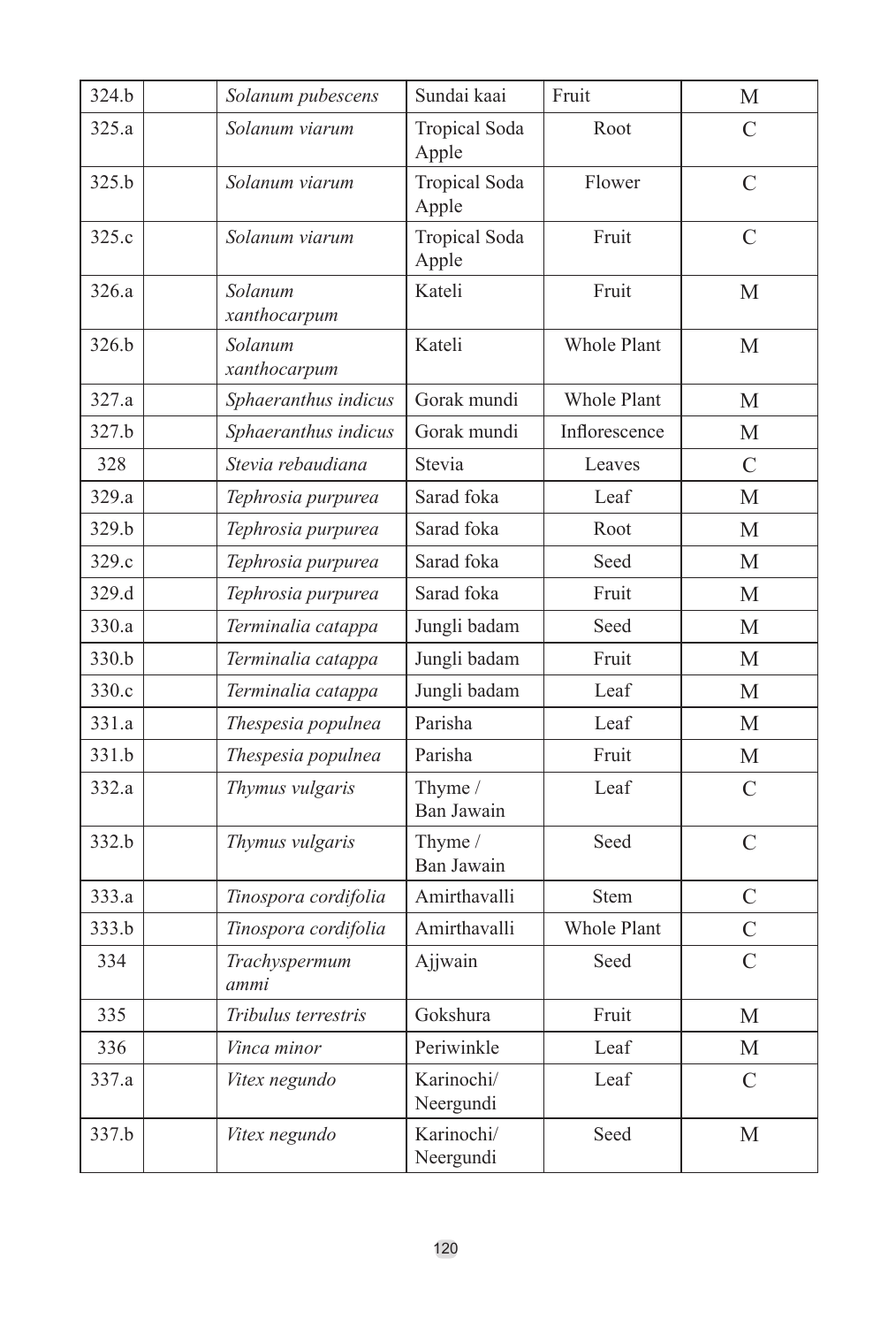| 324.b | Solanum pubescens       | Sundai kaai                   | Fruit              | М              |
|-------|-------------------------|-------------------------------|--------------------|----------------|
| 325.a | Solanum viarum          | <b>Tropical Soda</b><br>Apple | Root               | C              |
| 325.b | Solanum viarum          | <b>Tropical Soda</b><br>Apple | Flower             | C              |
| 325.c | Solanum viarum          | <b>Tropical Soda</b><br>Apple | Fruit              | $\mathcal{C}$  |
| 326.a | Solanum<br>xanthocarpum | Kateli                        | Fruit              | M              |
| 326.b | Solanum<br>xanthocarpum | Kateli                        | Whole Plant        | M              |
| 327.a | Sphaeranthus indicus    | Gorak mundi                   | <b>Whole Plant</b> | M              |
| 327.b | Sphaeranthus indicus    | Gorak mundi                   | Inflorescence      | М              |
| 328   | Stevia rebaudiana       | Stevia                        | Leaves             | $\mathcal{C}$  |
| 329.a | Tephrosia purpurea      | Sarad foka                    | Leaf               | $\mathbf{M}$   |
| 329.b | Tephrosia purpurea      | Sarad foka                    | Root               | M              |
| 329.c | Tephrosia purpurea      | Sarad foka                    | Seed               | M              |
| 329.d | Tephrosia purpurea      | Sarad foka                    | Fruit              | M              |
| 330.a | Terminalia catappa      | Jungli badam                  | Seed               | М              |
| 330.b | Terminalia catappa      | Jungli badam                  | Fruit              | M              |
| 330.c | Terminalia catappa      | Jungli badam                  | Leaf               | М              |
| 331.a | Thespesia populnea      | Parisha                       | Leaf               | M              |
| 331.b | Thespesia populnea      | Parisha                       | Fruit              | М              |
| 332.a | Thymus vulgaris         | Thyme /<br>Ban Jawain         | Leaf               | $\mathcal{C}$  |
| 332.b | Thymus vulgaris         | Thyme /<br>Ban Jawain         | Seed               | $\mathcal{C}$  |
| 333.a | Tinospora cordifolia    | Amirthavalli                  | Stem               | $\overline{C}$ |
| 333.b | Tinospora cordifolia    | Amirthavalli                  | <b>Whole Plant</b> | $\mathcal{C}$  |
| 334   | Trachyspermum<br>ammi   | Ajjwain                       | Seed               | $\overline{C}$ |
| 335   | Tribulus terrestris     | Gokshura                      | Fruit              | М              |
| 336   | Vinca minor             | Periwinkle                    | Leaf               | М              |
| 337.a | Vitex negundo           | Karinochi/<br>Neergundi       | Leaf               | $\mathcal{C}$  |
| 337.b | Vitex negundo           | Karinochi/<br>Neergundi       | Seed               | M              |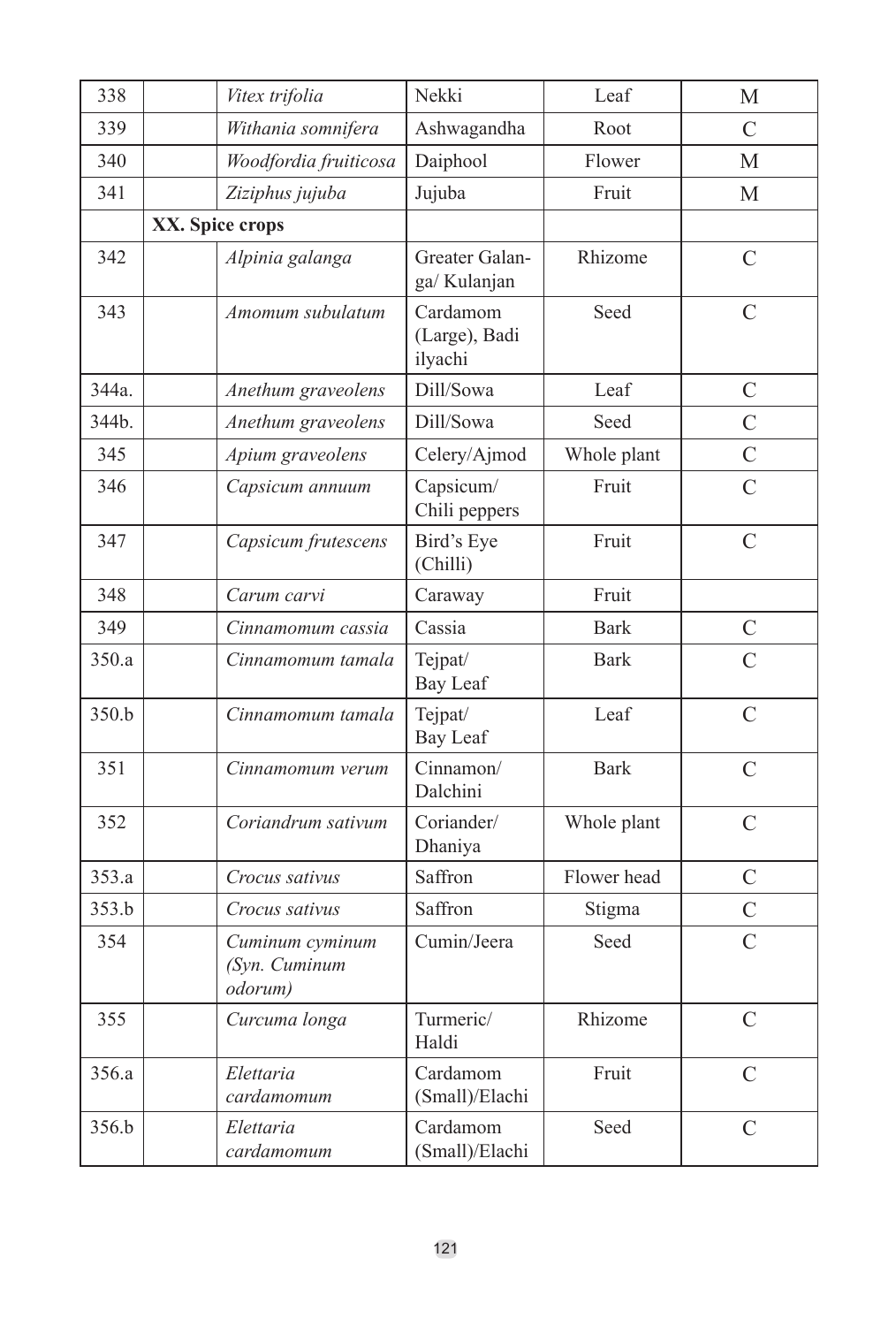| 338   |                 | Vitex trifolia                              | Nekki                                | Leaf                     | М              |
|-------|-----------------|---------------------------------------------|--------------------------------------|--------------------------|----------------|
| 339   |                 | Withania somnifera                          | Ashwagandha                          | Root                     | C              |
| 340   |                 | Woodfordia fruiticosa                       | Daiphool                             | Flower                   | M              |
| 341   |                 | Ziziphus jujuba                             | Jujuba                               | Fruit                    | М              |
|       | XX. Spice crops |                                             |                                      |                          |                |
| 342   |                 | Alpinia galanga                             | Greater Galan-<br>ga/ Kulanjan       | Rhizome                  | $\mathcal{C}$  |
| 343   |                 | Amomum subulatum                            | Cardamom<br>(Large), Badi<br>ilyachi | Seed                     | C              |
| 344a. |                 | Anethum graveolens                          | Dill/Sowa                            | Leaf                     | C              |
| 344b. |                 | Anethum graveolens                          | Dill/Sowa                            | Seed                     | $\overline{C}$ |
| 345   |                 | Apium graveolens                            | Celery/Ajmod                         | Whole plant              | $\overline{C}$ |
| 346   |                 | Capsicum annuum                             | Capsicum/<br>Chili peppers           | Fruit                    | $\overline{C}$ |
| 347   |                 | Capsicum frutescens                         | Bird's Eye<br>(Chilli)               | Fruit                    | $\overline{C}$ |
| 348   |                 | Carum carvi                                 | Caraway                              | Fruit                    |                |
| 349   |                 | Cinnamomum cassia                           | Cassia                               | <b>Bark</b>              | $\mathcal{C}$  |
| 350.a |                 | Cinnamomum tamala                           | Tejpat/<br>Bay Leaf                  | <b>Bark</b>              | $\overline{C}$ |
| 350.b |                 | Cinnamomum tamala                           | Tejpat/<br>Bay Leaf                  | Leaf                     | $\overline{C}$ |
| 351   |                 | Cinnamomum verum                            | Cinnamon/<br>Dalchini                | <b>Bark</b>              | $\mathcal{C}$  |
| 352   |                 | Coriandrum sativum                          | Coriander/<br>Dhaniya                | Whole plant              | C              |
| 353.a |                 | Crocus sativus                              | Saffron                              | Flower head              | $\mathcal{C}$  |
| 353.b |                 | Crocus sativus                              | Saffron                              | Stigma                   | $\overline{C}$ |
| 354   |                 | Cuminum cyminum<br>(Syn. Cuminum<br>odorum) | Cumin/Jeera                          | Seed                     | $\overline{C}$ |
| 355   |                 | Curcuma longa                               | Turmeric/<br>Haldi                   | Rhizome<br>$\mathcal{C}$ |                |
| 356.a |                 | Elettaria<br>cardamomum                     | Cardamom<br>(Small)/Elachi           | $\mathcal{C}$<br>Fruit   |                |
| 356.b |                 | Elettaria<br>cardamomum                     | Cardamom<br>(Small)/Elachi           | Seed                     | $\overline{C}$ |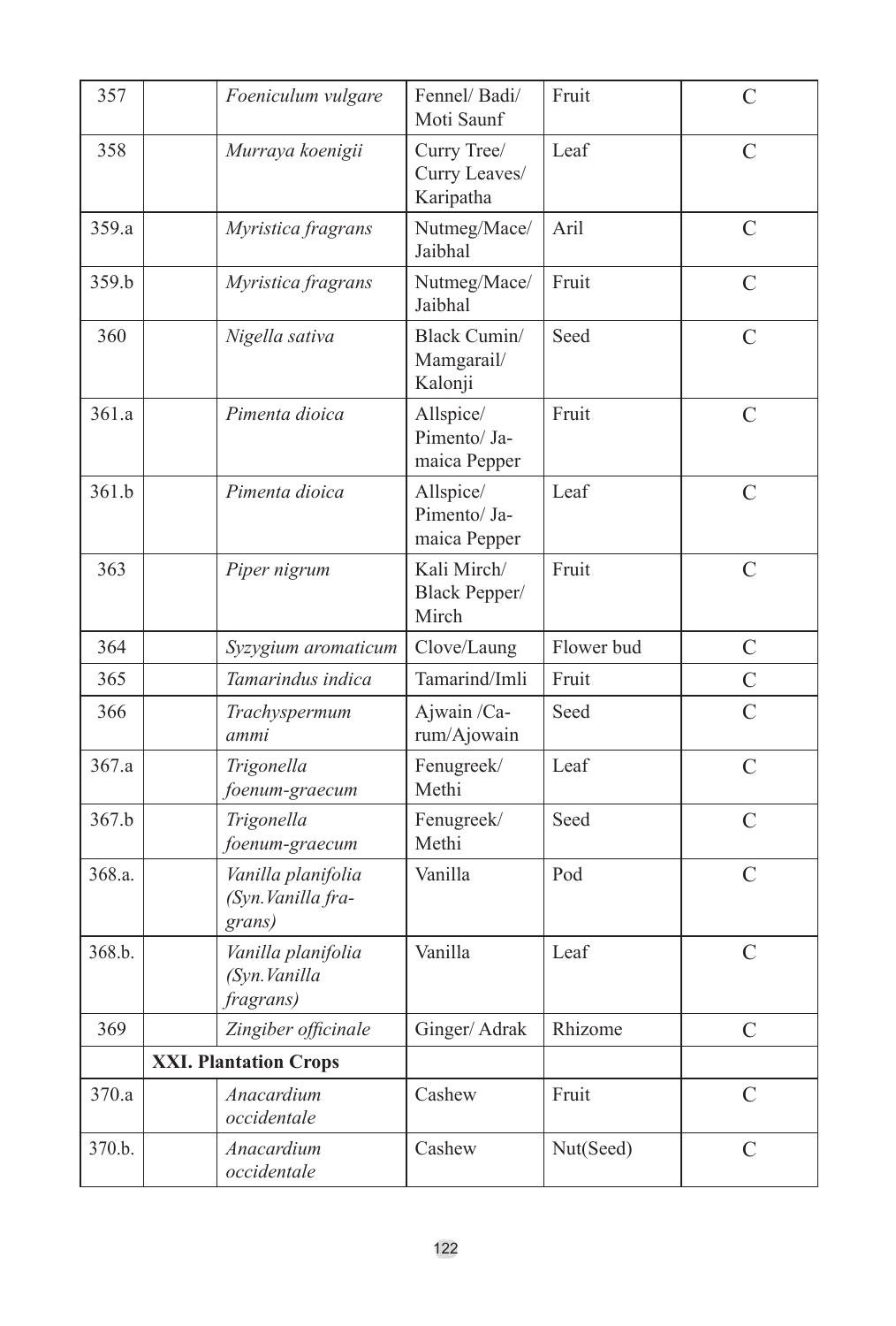| 357    | Foeniculum vulgare                                 | Fennel/Badi/<br>Moti Saunf                | Fruit      | $\overline{C}$ |
|--------|----------------------------------------------------|-------------------------------------------|------------|----------------|
| 358    | Murraya koenigii                                   | Curry Tree/<br>Curry Leaves/<br>Karipatha | Leaf       | C              |
| 359.a  | Myristica fragrans                                 | Nutmeg/Mace/<br>Jaibhal                   | Aril       | $\mathcal{C}$  |
| 359.b  | Myristica fragrans                                 | Nutmeg/Mace/<br>Jaibhal                   | Fruit      | $\overline{C}$ |
| 360    | Nigella sativa                                     | Black Cumin/<br>Mamgarail/<br>Kalonji     | Seed       | C              |
| 361.a  | Pimenta dioica                                     | Allspice/<br>Pimento/Ja-<br>maica Pepper  | Fruit      | $\mathcal{C}$  |
| 361.h  | Pimenta dioica                                     | Allspice/<br>Pimento/Ja-<br>maica Pepper  | Leaf       | $\overline{C}$ |
| 363    | Piper nigrum                                       | Kali Mirch/<br>Black Pepper/<br>Mirch     | Fruit      | $\overline{C}$ |
| 364    | Syzygium aromaticum                                | Clove/Laung                               | Flower bud | $\mathcal{C}$  |
| 365    | Tamarindus indica                                  | Tamarind/Imli                             | Fruit      | $\overline{C}$ |
| 366    | Trachyspermum<br>ammi                              | Ajwain/Ca-<br>rum/Ajowain                 | Seed       | $\overline{C}$ |
| 367.a  | Trigonella<br>foenum-graecum                       | Fenugreek/<br>Methi                       | Leaf       | $\mathcal{C}$  |
| 367.b  | Trigonella<br>foenum-graecum                       | Fenugreek/<br>Methi                       | Seed       | $\mathcal{C}$  |
| 368.a. | Vanilla planifolia<br>(Syn. Vanilla fra-<br>grans) | Vanilla                                   | Pod        | $\overline{C}$ |
| 368.h. | Vanilla planifolia<br>(Syn. Vanilla<br>fragrans)   | Vanilla                                   | Leaf       | $\overline{C}$ |
| 369    | Zingiber officinale                                | Ginger/Adrak                              | Rhizome    | $\mathcal{C}$  |
|        | <b>XXI. Plantation Crops</b>                       |                                           |            |                |
| 370.a  | Anacardium<br>occidentale                          | Cashew                                    | Fruit      | $\mathcal{C}$  |
| 370.b. | Anacardium<br>occidentale                          | Cashew                                    | Nut(Seed)  | C              |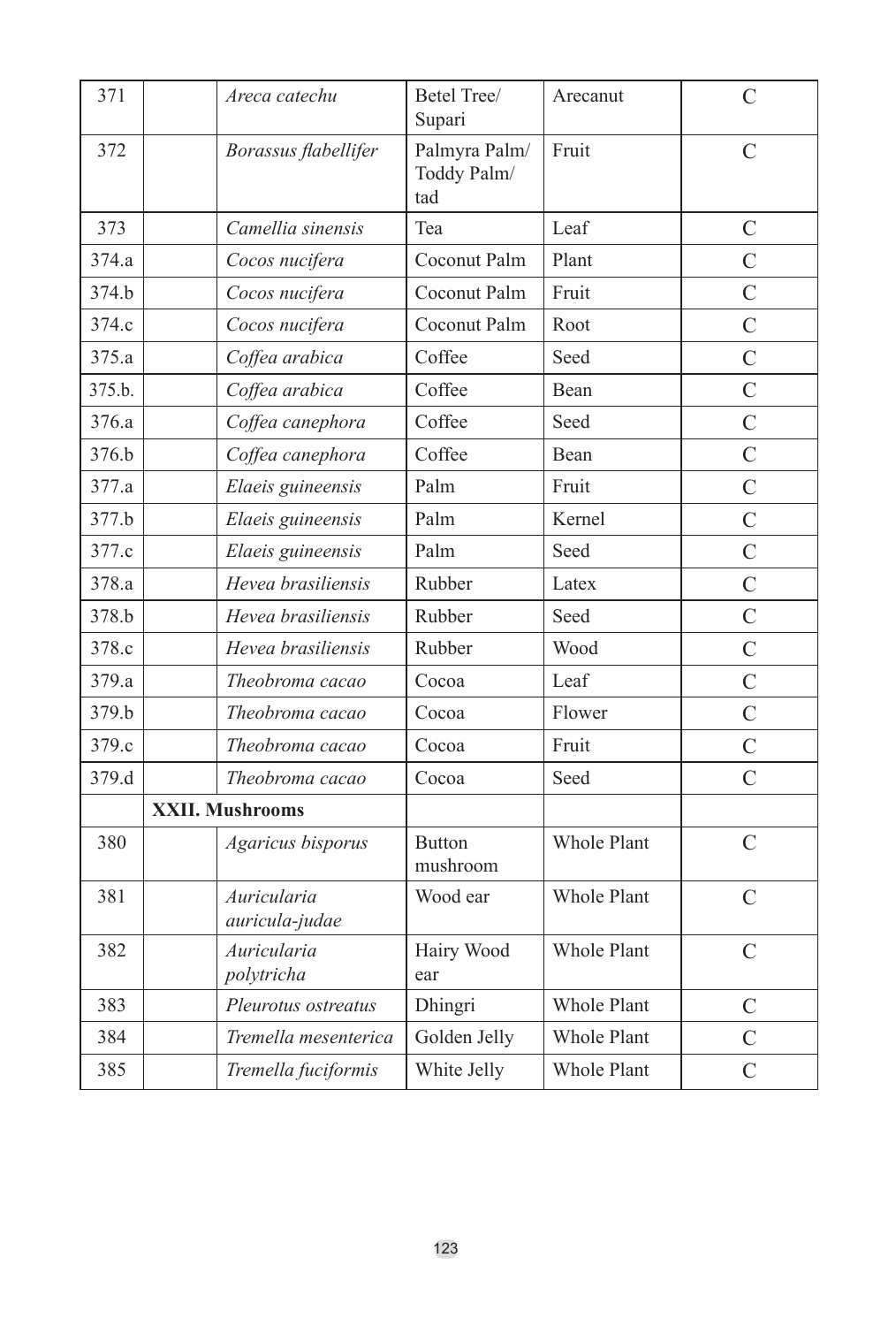| 371    |                        | Areca catechu                 | Betel Tree/<br>Supari               | Arecanut    | $\mathcal{C}$  |
|--------|------------------------|-------------------------------|-------------------------------------|-------------|----------------|
| 372    |                        | Borassus flabellifer          | Palmyra Palm/<br>Toddy Palm/<br>tad | Fruit       | C              |
| 373    |                        | Camellia sinensis             | Tea                                 | Leaf        | C              |
| 374.a  |                        | Cocos nucifera                | Coconut Palm                        | Plant       | $\overline{C}$ |
| 374.b  |                        | Cocos nucifera                | Coconut Palm                        | Fruit       | $\overline{C}$ |
| 374.c  |                        | Cocos nucifera                | Coconut Palm                        | Root        | $\overline{C}$ |
| 375.a  |                        | Coffea arabica                | Coffee                              | Seed        | $\overline{C}$ |
| 375.b. |                        | Coffea arabica                | Coffee                              | Bean        | $\overline{C}$ |
| 376.a  |                        | Coffea canephora              | Coffee                              | Seed        | $\overline{C}$ |
| 376.b  |                        | Coffea canephora              | Coffee                              | Bean        | $\overline{C}$ |
| 377.a  |                        | Elaeis guineensis             | Palm                                | Fruit       | $\overline{C}$ |
| 377.b  |                        | Elaeis guineensis             | Palm                                | Kernel      | $\overline{C}$ |
| 377.c  |                        | Elaeis guineensis             | Palm                                | Seed        | $\overline{C}$ |
| 378.a  |                        | Hevea brasiliensis            | Rubber                              | Latex       | $\overline{C}$ |
| 378.b  |                        | Hevea brasiliensis            | Rubber                              | Seed        | $\overline{C}$ |
| 378.c  |                        | Hevea brasiliensis            | Rubber                              | Wood        | $\overline{C}$ |
| 379.a  |                        | Theobroma cacao               | Cocoa                               | Leaf        | $\overline{C}$ |
| 379.b  |                        | Theobroma cacao               | Cocoa                               | Flower      | $\overline{C}$ |
| 379.c  |                        | Theobroma cacao               | Cocoa                               | Fruit       | $\overline{C}$ |
| 379.d  |                        | Theobroma cacao               | Cocoa                               | Seed        | $\overline{C}$ |
|        | <b>XXII. Mushrooms</b> |                               |                                     |             |                |
| 380    |                        | Agaricus bisporus             | <b>Button</b><br>mushroom           | Whole Plant | $\mathcal{C}$  |
| 381    |                        | Auricularia<br>auricula-judae | Wood ear                            | Whole Plant | $\mathcal{C}$  |
| 382    |                        | Auricularia<br>polytricha     | Hairy Wood<br>ear                   | Whole Plant | $\mathcal{C}$  |
| 383    |                        | Pleurotus ostreatus           | Dhingri                             | Whole Plant | $\mathcal{C}$  |
| 384    |                        | Tremella mesenterica          | Golden Jelly                        | Whole Plant | $\overline{C}$ |
| 385    |                        | Tremella fuciformis           | White Jelly                         | Whole Plant | $\overline{C}$ |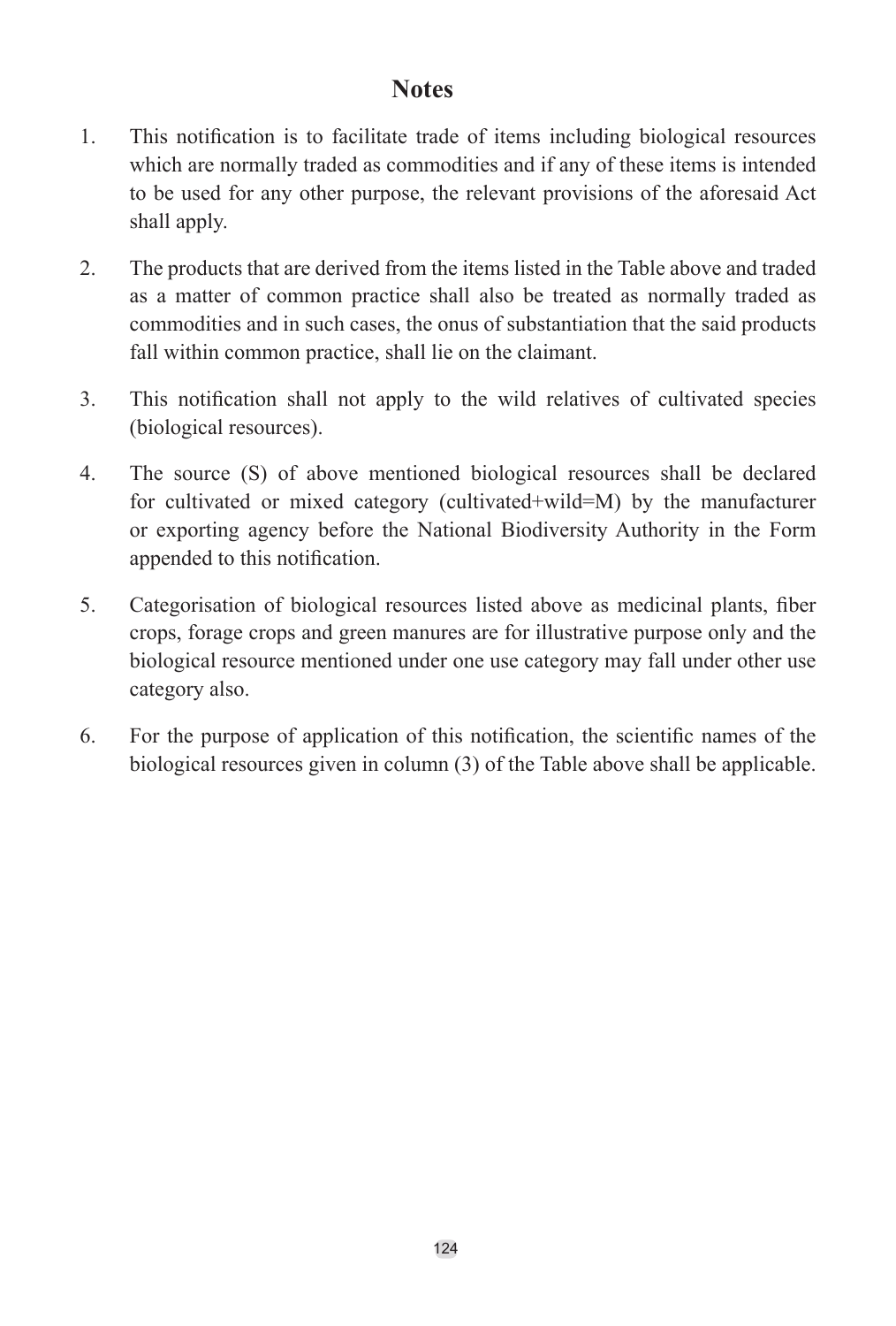#### **Notes**

- 1. This notification is to facilitate trade of items including biological resources which are normally traded as commodities and if any of these items is intended to be used for any other purpose, the relevant provisions of the aforesaid Act shall apply.
- 2. The products that are derived from the items listed in the Table above and traded as a matter of common practice shall also be treated as normally traded as commodities and in such cases, the onus of substantiation that the said products fall within common practice, shall lie on the claimant.
- 3. This notification shall not apply to the wild relatives of cultivated species (biological resources).
- 4. The source (S) of above mentioned biological resources shall be declared for cultivated or mixed category (cultivated+wild=M) by the manufacturer or exporting agency before the National Biodiversity Authority in the Form appended to this notification.
- 5. Categorisation of biological resources listed above as medicinal plants, fiber crops, forage crops and green manures are for illustrative purpose only and the biological resource mentioned under one use category may fall under other use category also.
- 6. For the purpose of application of this notification, the scientific names of the biological resources given in column (3) of the Table above shall be applicable.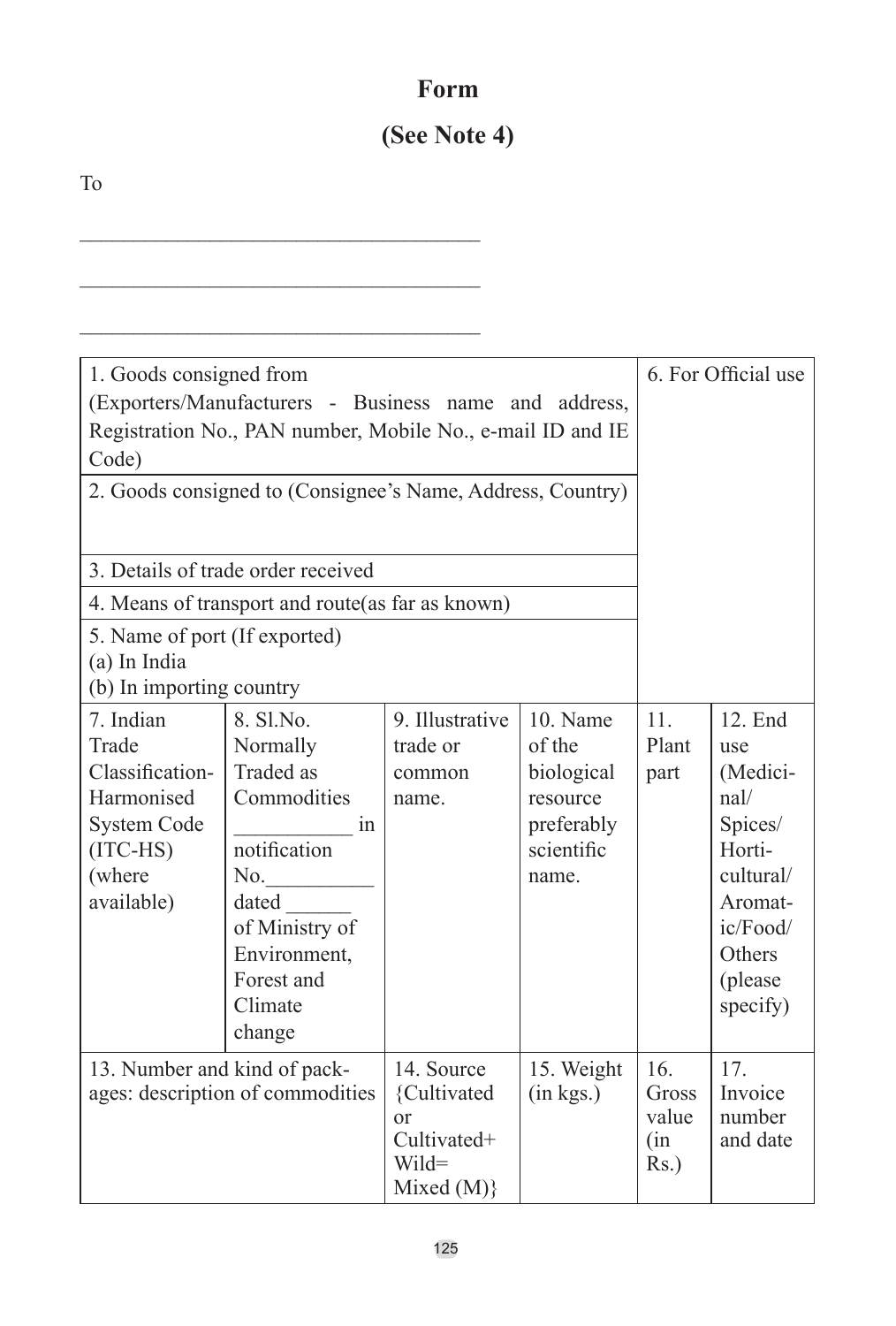## **Form**

## **(See Note 4)**

\_\_\_\_\_\_\_\_\_\_\_\_\_\_\_\_\_\_\_\_\_\_\_\_\_\_\_\_\_\_\_\_\_\_\_\_\_

\_\_\_\_\_\_\_\_\_\_\_\_\_\_\_\_\_\_\_\_\_\_\_\_\_\_\_\_\_\_\_\_\_\_\_\_\_

To

| 1. Goods consigned from<br>(Exporters/Manufacturers - Business name and address,<br>Registration No., PAN number, Mobile No., e-mail ID and IE<br>Code)<br>2. Goods consigned to (Consignee's Name, Address, Country) |                                                                                                                                                              |                                                                                        |                                                                                  |                                         | 6. For Official use                                                                                                                 |
|-----------------------------------------------------------------------------------------------------------------------------------------------------------------------------------------------------------------------|--------------------------------------------------------------------------------------------------------------------------------------------------------------|----------------------------------------------------------------------------------------|----------------------------------------------------------------------------------|-----------------------------------------|-------------------------------------------------------------------------------------------------------------------------------------|
| 3. Details of trade order received                                                                                                                                                                                    |                                                                                                                                                              |                                                                                        |                                                                                  |                                         |                                                                                                                                     |
| 4. Means of transport and route(as far as known)                                                                                                                                                                      |                                                                                                                                                              |                                                                                        |                                                                                  |                                         |                                                                                                                                     |
| 5. Name of port (If exported)<br>(a) In India<br>(b) In importing country                                                                                                                                             |                                                                                                                                                              |                                                                                        |                                                                                  |                                         |                                                                                                                                     |
| 7. Indian<br>Trade<br>Classification-<br>Harmonised<br><b>System Code</b><br>$(ITC-HS)$<br>(where<br>available)                                                                                                       | 8. Sl.No.<br>Normally<br>Traded as<br>Commodities<br>1n<br>notification<br>No.<br>dated<br>of Ministry of<br>Environment,<br>Forest and<br>Climate<br>change | 9. Illustrative<br>trade or<br>common<br>name.                                         | 10 Name<br>of the<br>biological<br>resource<br>preferably<br>scientific<br>name. | 11<br>Plant<br>part                     | 12. End<br>use<br>(Medici-<br>nal/<br>Spices/<br>Horti-<br>cultural/<br>Aromat-<br>ic/Food/<br><b>Others</b><br>(please<br>specify) |
| 13. Number and kind of pack-<br>ages: description of commodities                                                                                                                                                      |                                                                                                                                                              | 14. Source<br>{Cultivated<br><sub>or</sub><br>Cultivated+<br>$Wild =$<br>Mixed $(M)$ } | 15. Weight<br>(in kgs.)                                                          | 16.<br>Gross<br>value<br>(in<br>$Rs.$ ) | 17.<br>Invoice<br>number<br>and date                                                                                                |